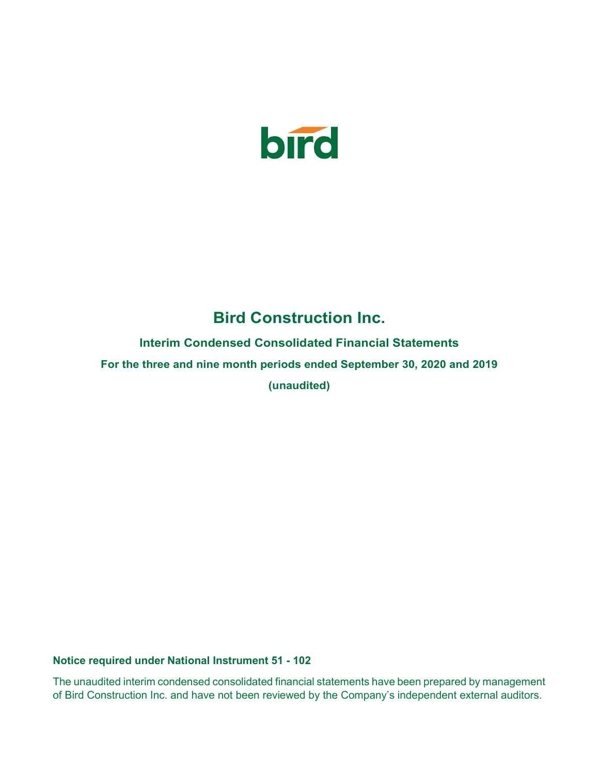

# Bird Construction Inc.

Interim Condensed Consolidated Financial Statements

For the three and nine month periods ended September 30, 2020 and 2019

(unaudited)

Notice required under National Instrument 51 - 102

The unaudited interim condensed consolidated financial statements have been prepared by management of Bird Construction Inc. and have not been reviewed by the Company's independent external auditors.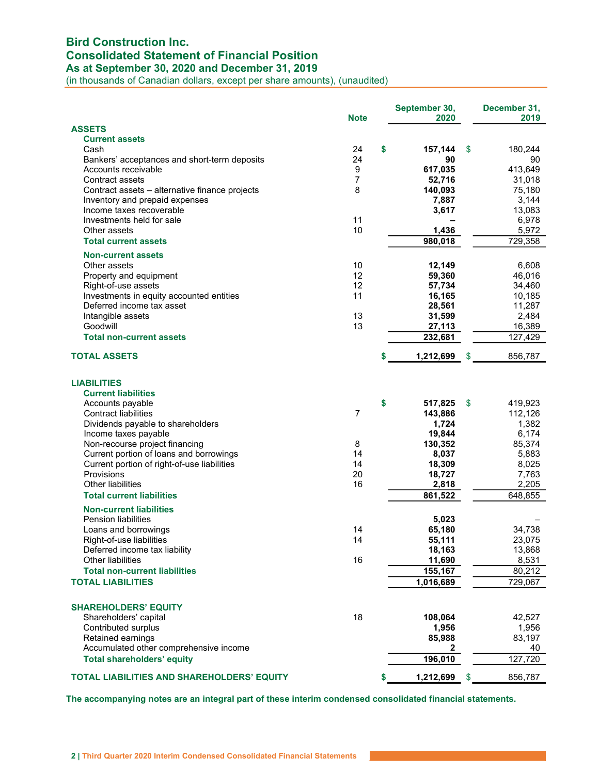## Bird Construction Inc. Consolidated Statement of Financial Position

As at September 30, 2020 and December 31, 2019

(in thousands of Canadian dollars, except per share amounts), (unaudited)

|                                                   | <b>Note</b>    | September 30,<br>2020 | December 31,<br>2019 |
|---------------------------------------------------|----------------|-----------------------|----------------------|
| <b>ASSETS</b>                                     |                |                       |                      |
| <b>Current assets</b>                             |                |                       |                      |
| Cash                                              | 24             | \$<br>157,144         | \$<br>180,244        |
| Bankers' acceptances and short-term deposits      | 24             | 90                    | 90                   |
| Accounts receivable                               | 9              | 617,035               | 413,649              |
| Contract assets                                   | 7              | 52,716                | 31,018               |
| Contract assets - alternative finance projects    | 8              | 140,093               | 75,180               |
| Inventory and prepaid expenses                    |                | 7,887                 | 3,144                |
| Income taxes recoverable                          |                | 3,617                 | 13,083               |
| Investments held for sale                         | 11             |                       | 6,978                |
| Other assets                                      | 10             | 1,436                 | 5,972                |
| <b>Total current assets</b>                       |                | 980,018               | 729,358              |
| <b>Non-current assets</b>                         |                |                       |                      |
| Other assets                                      | 10             | 12,149                | 6,608                |
| Property and equipment                            | 12             | 59,360                | 46,016               |
| Right-of-use assets                               | 12             | 57,734                | 34,460               |
| Investments in equity accounted entities          | 11             | 16,165                | 10,185               |
| Deferred income tax asset                         |                | 28,561                | 11,287               |
| Intangible assets                                 | 13             | 31,599                | 2,484                |
| Goodwill                                          | 13             | 27,113                | 16,389               |
| <b>Total non-current assets</b>                   |                | 232,681               | 127,429              |
|                                                   |                |                       |                      |
| <b>TOTAL ASSETS</b>                               |                | 1,212,699             | 856,787<br>S         |
| <b>LIABILITIES</b>                                |                |                       |                      |
| <b>Current liabilities</b>                        |                |                       |                      |
|                                                   |                | \$                    | \$.                  |
| Accounts payable<br><b>Contract liabilities</b>   | $\overline{7}$ | 517,825               | 419,923<br>112,126   |
|                                                   |                | 143,886               |                      |
| Dividends payable to shareholders                 |                | 1,724                 | 1,382                |
| Income taxes payable                              |                | 19,844                | 6,174                |
| Non-recourse project financing                    | 8              | 130,352               | 85,374               |
| Current portion of loans and borrowings           | 14             | 8,037                 | 5,883                |
| Current portion of right-of-use liabilities       | 14             | 18,309                | 8,025                |
| Provisions                                        | 20             | 18,727                | 7,763                |
| Other liabilities                                 | 16             | 2,818                 | 2,205                |
| <b>Total current liabilities</b>                  |                | 861,522               | 648,855              |
| <b>Non-current liabilities</b>                    |                |                       |                      |
| <b>Pension liabilities</b>                        |                | 5,023                 |                      |
| Loans and borrowings                              | 14             | 65,180                | 34,738               |
| Right-of-use liabilities                          | 14             | 55,111                | 23,075               |
| Deferred income tax liability                     |                | 18,163                | 13,868               |
| Other liabilities                                 | 16             | 11,690                | 8,531                |
| <b>Total non-current liabilities</b>              |                | 155,167               | 80,212               |
| <b>TOTAL LIABILITIES</b>                          |                | 1,016,689             | 729,067              |
| <b>SHAREHOLDERS' EQUITY</b>                       |                |                       |                      |
| Shareholders' capital                             | 18             | 108,064               | 42,527               |
| Contributed surplus                               |                | 1,956                 | 1,956                |
| Retained earnings                                 |                | 85,988                | 83,197               |
| Accumulated other comprehensive income            |                | 2                     | 40                   |
| <b>Total shareholders' equity</b>                 |                | 196,010               | 127,720              |
| <b>TOTAL LIABILITIES AND SHAREHOLDERS' EQUITY</b> |                | 1,212,699             | 856,787<br>\$        |
|                                                   |                |                       |                      |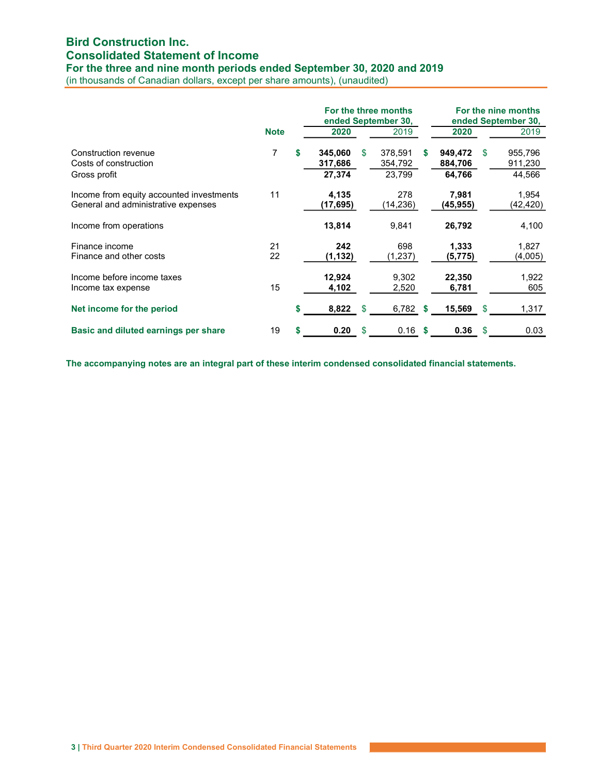## Bird Construction Inc. Consolidated Statement of Income

For the three and nine month periods ended September 30, 2020 and 2019

(in thousands of Canadian dollars, except per share amounts), (unaudited)

|                                                                                 |             |    |                              | For the three months<br>ended September 30, |                              | For the nine months<br>ended September 30, |                              |     |                              |
|---------------------------------------------------------------------------------|-------------|----|------------------------------|---------------------------------------------|------------------------------|--------------------------------------------|------------------------------|-----|------------------------------|
|                                                                                 | <b>Note</b> |    | 2020                         |                                             | 2019                         |                                            | 2020                         |     | 2019                         |
| Construction revenue<br>Costs of construction<br>Gross profit                   | 7           | S  | 345,060<br>317,686<br>27,374 | \$                                          | 378,591<br>354,792<br>23.799 | S                                          | 949,472<br>884,706<br>64,766 | S   | 955,796<br>911,230<br>44,566 |
| Income from equity accounted investments<br>General and administrative expenses | 11          |    | 4,135<br>(17,695)            |                                             | 278<br>(14,236)              |                                            | 7,981<br>(45,955)            |     | 1,954<br>(42,420)            |
| Income from operations                                                          |             |    | 13,814                       |                                             | 9,841                        |                                            | 26,792                       |     | 4,100                        |
| Finance income<br>Finance and other costs                                       | 21<br>22    |    | 242<br>(1,132)               |                                             | 698<br>(1,237)               |                                            | 1,333<br>(5,775)             |     | 1,827<br>(4,005)             |
| Income before income taxes<br>Income tax expense                                | 15          |    | 12,924<br>4,102              |                                             | 9,302<br>2,520               |                                            | 22,350<br>6,781              |     | 1,922<br>605                 |
| Net income for the period                                                       |             | \$ | 8,822                        | -\$                                         | 6,782 \$                     |                                            | 15,569                       | -\$ | 1,317                        |
| Basic and diluted earnings per share                                            | 19          | \$ | 0.20                         | \$                                          | 0.16                         | S                                          | 0.36                         | \$  | 0.03                         |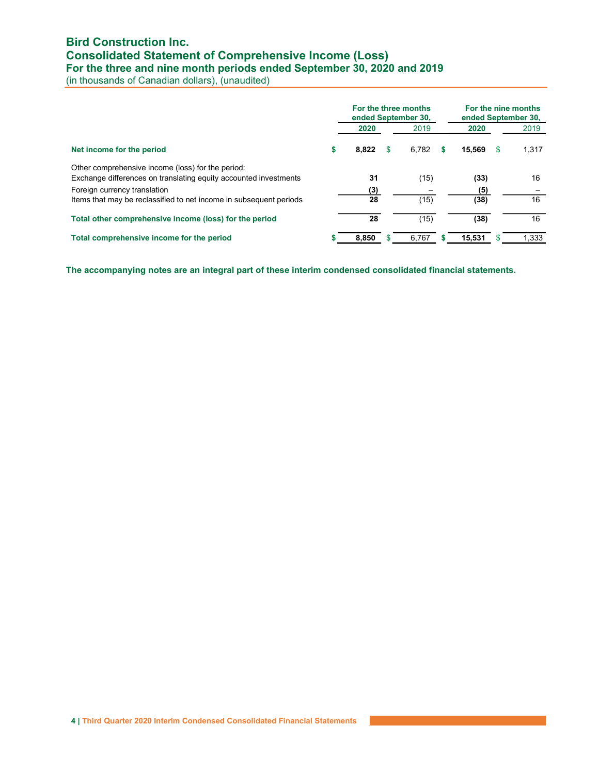### Bird Construction Inc. Consolidated Statement of Comprehensive Income (Loss) For the three and nine month periods ended September 30, 2020 and 2019

(in thousands of Canadian dollars), (unaudited)

|                                                                                                                       |   | For the three months<br>ended September 30, |       | For the nine months<br>ended September 30, |       |  |  |  |
|-----------------------------------------------------------------------------------------------------------------------|---|---------------------------------------------|-------|--------------------------------------------|-------|--|--|--|
|                                                                                                                       |   | 2020                                        | 2019  | 2020                                       | 2019  |  |  |  |
| Net income for the period                                                                                             | S | 8,822<br>S                                  | 6.782 | 15.569<br>S                                | 1,317 |  |  |  |
| Other comprehensive income (loss) for the period:<br>Exchange differences on translating equity accounted investments |   | 31                                          | (15)  | (33)                                       | 16    |  |  |  |
| Foreign currency translation                                                                                          |   | (3)                                         |       | (5)                                        |       |  |  |  |
| Items that may be reclassified to net income in subsequent periods                                                    |   | 28                                          | (15)  | (38)                                       | 16    |  |  |  |
| Total other comprehensive income (loss) for the period                                                                |   | 28                                          | (15)  | (38)                                       | 16    |  |  |  |
| Total comprehensive income for the period                                                                             |   | 8.850                                       | 6.767 | 15,531                                     | 1,333 |  |  |  |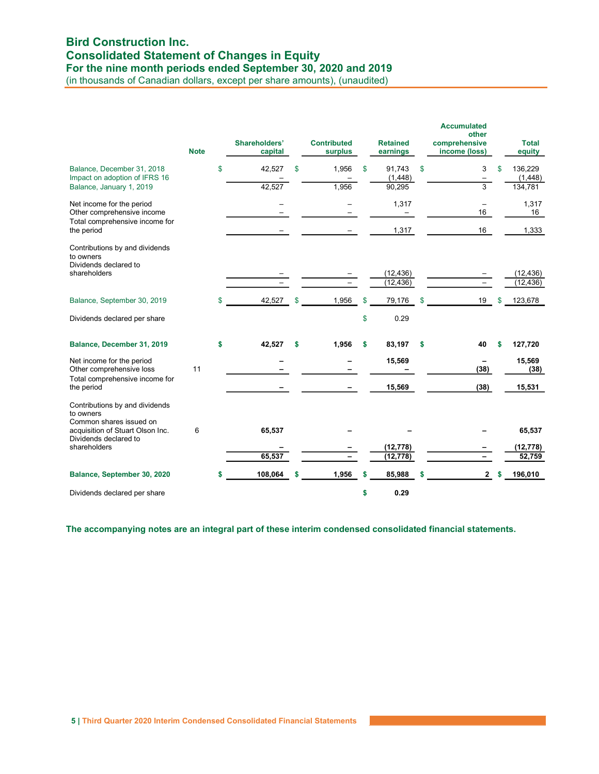### Bird Construction Inc. Consolidated Statement of Changes in Equity For the nine month periods ended September 30, 2020 and 2019

(in thousands of Canadian dollars, except per share amounts), (unaudited)

|                                                                                           | <b>Note</b> |    | Shareholders'<br>capital |    | <b>Contributed</b><br>surplus | <b>Retained</b><br>earnings | <b>Accumulated</b><br>other<br>comprehensive<br>income (loss) |    | <b>Total</b><br>equity |
|-------------------------------------------------------------------------------------------|-------------|----|--------------------------|----|-------------------------------|-----------------------------|---------------------------------------------------------------|----|------------------------|
| Balance, December 31, 2018<br>Impact on adoption of IFRS 16                               |             | \$ | 42,527                   | \$ | 1,956                         | \$<br>91,743<br>(1, 448)    | \$<br>3<br>$\overline{\phantom{0}}$                           | \$ | 136,229<br>(1, 448)    |
| Balance, January 1, 2019                                                                  |             |    | 42,527                   |    | 1,956                         | 90,295                      | $\overline{3}$                                                |    | 134,781                |
| Net income for the period<br>Other comprehensive income<br>Total comprehensive income for |             |    |                          |    |                               | 1,317                       | $\overline{\phantom{0}}$<br>16                                |    | 1,317<br>16            |
| the period                                                                                |             |    |                          |    |                               | 1,317                       | 16                                                            |    | 1,333                  |
| Contributions by and dividends<br>to owners<br>Dividends declared to<br>shareholders      |             |    |                          |    |                               | (12, 436)                   |                                                               |    | (12, 436)              |
|                                                                                           |             |    |                          |    |                               | (12, 436)                   |                                                               |    | (12, 436)              |
| Balance, September 30, 2019                                                               |             | \$ | 42,527                   | \$ | 1,956                         | \$<br>79,176                | \$<br>19                                                      | \$ | 123,678                |
| Dividends declared per share                                                              |             |    |                          |    |                               | \$<br>0.29                  |                                                               |    |                        |
| Balance, December 31, 2019                                                                |             | \$ | 42,527                   | \$ | 1,956                         | \$<br>83,197                | \$<br>40                                                      | \$ | 127,720                |
| Net income for the period<br>Other comprehensive loss<br>Total comprehensive income for   | 11          |    |                          |    |                               | 15,569                      | (38)                                                          |    | 15,569<br>(38)         |
| the period                                                                                |             |    |                          |    |                               | 15,569                      | (38)                                                          |    | 15,531                 |
| Contributions by and dividends<br>to owners<br>Common shares issued on                    | 6           |    |                          |    |                               |                             |                                                               |    | 65,537                 |
| acquisition of Stuart Olson Inc.<br>Dividends declared to                                 |             |    | 65,537                   |    |                               |                             |                                                               |    |                        |
| shareholders                                                                              |             |    |                          |    |                               | (12, 778)                   |                                                               |    | (12, 778)              |
|                                                                                           |             |    | 65,537                   |    |                               | (12, 778)                   |                                                               |    | 52,759                 |
| Balance, September 30, 2020                                                               |             | S  | 108,064                  | S  | 1,956                         | \$<br>85,988                | $\mathbf{2}$                                                  | S  | 196,010                |
| Dividends declared per share                                                              |             |    |                          |    |                               | \$<br>0.29                  |                                                               |    |                        |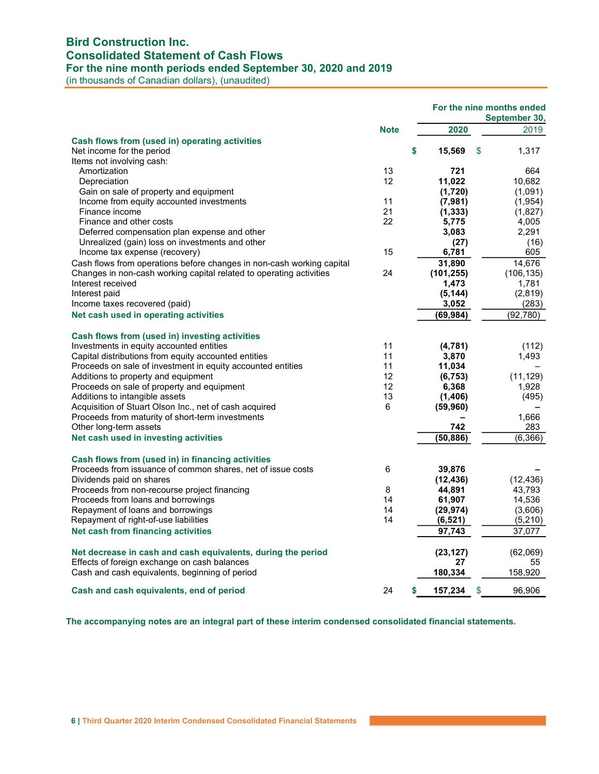## Bird Construction Inc. Consolidated Statement of Cash Flows

For the nine month periods ended September 30, 2020 and 2019

(in thousands of Canadian dollars), (unaudited)

|                                                                             |             |               | For the nine months ended<br>September 30, |
|-----------------------------------------------------------------------------|-------------|---------------|--------------------------------------------|
|                                                                             | <b>Note</b> | 2020          | 2019                                       |
| Cash flows from (used in) operating activities<br>Net income for the period |             | \$<br>15,569  | \$<br>1,317                                |
| Items not involving cash:<br>Amortization                                   | 13          | 721           | 664                                        |
| Depreciation                                                                | 12          | 11,022        | 10,682                                     |
| Gain on sale of property and equipment                                      |             | (1,720)       | (1,091)                                    |
| Income from equity accounted investments                                    | 11          | (7, 981)      | (1, 954)                                   |
| Finance income                                                              | 21          | (1, 333)      | (1,827)                                    |
| Finance and other costs                                                     | 22          | 5,775         | 4,005                                      |
| Deferred compensation plan expense and other                                |             | 3,083         | 2,291                                      |
| Unrealized (gain) loss on investments and other                             |             | (27)          | (16)                                       |
| Income tax expense (recovery)                                               | 15          | 6,781         | 605                                        |
| Cash flows from operations before changes in non-cash working capital       |             | 31,890        | 14,676                                     |
| Changes in non-cash working capital related to operating activities         | 24          | (101, 255)    | (106, 135)                                 |
| Interest received                                                           |             | 1,473         | 1,781                                      |
| Interest paid                                                               |             | (5, 144)      | (2,819)                                    |
| Income taxes recovered (paid)                                               |             | 3,052         | (283)                                      |
| Net cash used in operating activities                                       |             | (69,984)      | (92, 780)                                  |
| Cash flows from (used in) investing activities                              |             |               |                                            |
| Investments in equity accounted entities                                    | 11          | (4,781)       | (112)                                      |
| Capital distributions from equity accounted entities                        | 11          | 3,870         | 1,493                                      |
| Proceeds on sale of investment in equity accounted entities                 | 11          | 11,034        |                                            |
| Additions to property and equipment                                         | 12          | (6, 753)      | (11, 129)                                  |
| Proceeds on sale of property and equipment                                  | 12          | 6,368         | 1,928                                      |
| Additions to intangible assets                                              | 13          | (1, 406)      | (495)                                      |
| Acquisition of Stuart Olson Inc., net of cash acquired                      | 6           | (59, 960)     |                                            |
| Proceeds from maturity of short-term investments                            |             |               | 1,666                                      |
| Other long-term assets                                                      |             | 742           | 283                                        |
| Net cash used in investing activities                                       |             | (50,886)      | (6,366)                                    |
| Cash flows from (used in) in financing activities                           |             |               |                                            |
| Proceeds from issuance of common shares, net of issue costs                 | 6           | 39,876        |                                            |
| Dividends paid on shares                                                    |             | (12, 436)     | (12, 436)                                  |
| Proceeds from non-recourse project financing                                | 8           | 44,891        | 43,793                                     |
| Proceeds from loans and borrowings                                          | 14          | 61,907        | 14,536                                     |
| Repayment of loans and borrowings                                           | 14          | (29, 974)     | (3,606)                                    |
| Repayment of right-of-use liabilities                                       | 14          | (6, 521)      | (5,210)                                    |
| Net cash from financing activities                                          |             | 97,743        | 37,077                                     |
| Net decrease in cash and cash equivalents, during the period                |             | (23, 127)     | (62,069)                                   |
| Effects of foreign exchange on cash balances                                |             | 27            | 55                                         |
| Cash and cash equivalents, beginning of period                              |             | 180,334       | 158,920                                    |
| Cash and cash equivalents, end of period                                    | 24          | \$<br>157,234 | \$<br>96,906                               |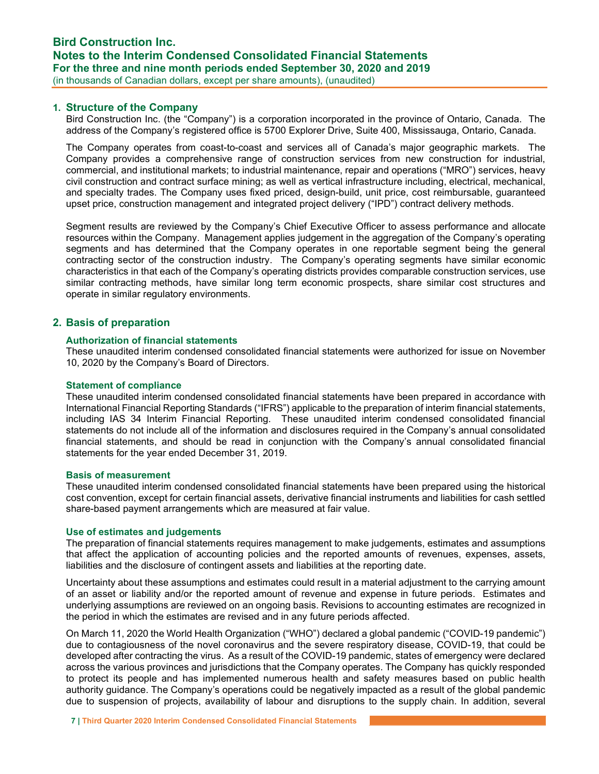### 1. Structure of the Company

Bird Construction Inc. (the "Company") is a corporation incorporated in the province of Ontario, Canada. The address of the Company's registered office is 5700 Explorer Drive, Suite 400, Mississauga, Ontario, Canada.

The Company operates from coast-to-coast and services all of Canada's major geographic markets. The Company provides a comprehensive range of construction services from new construction for industrial, commercial, and institutional markets; to industrial maintenance, repair and operations ("MRO") services, heavy civil construction and contract surface mining; as well as vertical infrastructure including, electrical, mechanical, and specialty trades. The Company uses fixed priced, design-build, unit price, cost reimbursable, guaranteed upset price, construction management and integrated project delivery ("IPD") contract delivery methods.

Segment results are reviewed by the Company's Chief Executive Officer to assess performance and allocate resources within the Company. Management applies judgement in the aggregation of the Company's operating segments and has determined that the Company operates in one reportable segment being the general contracting sector of the construction industry. The Company's operating segments have similar economic characteristics in that each of the Company's operating districts provides comparable construction services, use similar contracting methods, have similar long term economic prospects, share similar cost structures and operate in similar regulatory environments.

### 2. Basis of preparation

#### Authorization of financial statements

These unaudited interim condensed consolidated financial statements were authorized for issue on November 10, 2020 by the Company's Board of Directors.

#### Statement of compliance

These unaudited interim condensed consolidated financial statements have been prepared in accordance with International Financial Reporting Standards ("IFRS") applicable to the preparation of interim financial statements, including IAS 34 Interim Financial Reporting. These unaudited interim condensed consolidated financial statements do not include all of the information and disclosures required in the Company's annual consolidated financial statements, and should be read in conjunction with the Company's annual consolidated financial statements for the year ended December 31, 2019.

### Basis of measurement

These unaudited interim condensed consolidated financial statements have been prepared using the historical cost convention, except for certain financial assets, derivative financial instruments and liabilities for cash settled share-based payment arrangements which are measured at fair value.

#### Use of estimates and judgements

The preparation of financial statements requires management to make judgements, estimates and assumptions that affect the application of accounting policies and the reported amounts of revenues, expenses, assets, liabilities and the disclosure of contingent assets and liabilities at the reporting date.

Uncertainty about these assumptions and estimates could result in a material adjustment to the carrying amount of an asset or liability and/or the reported amount of revenue and expense in future periods. Estimates and underlying assumptions are reviewed on an ongoing basis. Revisions to accounting estimates are recognized in the period in which the estimates are revised and in any future periods affected.

On March 11, 2020 the World Health Organization ("WHO") declared a global pandemic ("COVID-19 pandemic") due to contagiousness of the novel coronavirus and the severe respiratory disease, COVID-19, that could be developed after contracting the virus. As a result of the COVID-19 pandemic, states of emergency were declared across the various provinces and jurisdictions that the Company operates. The Company has quickly responded to protect its people and has implemented numerous health and safety measures based on public health authority guidance. The Company's operations could be negatively impacted as a result of the global pandemic due to suspension of projects, availability of labour and disruptions to the supply chain. In addition, several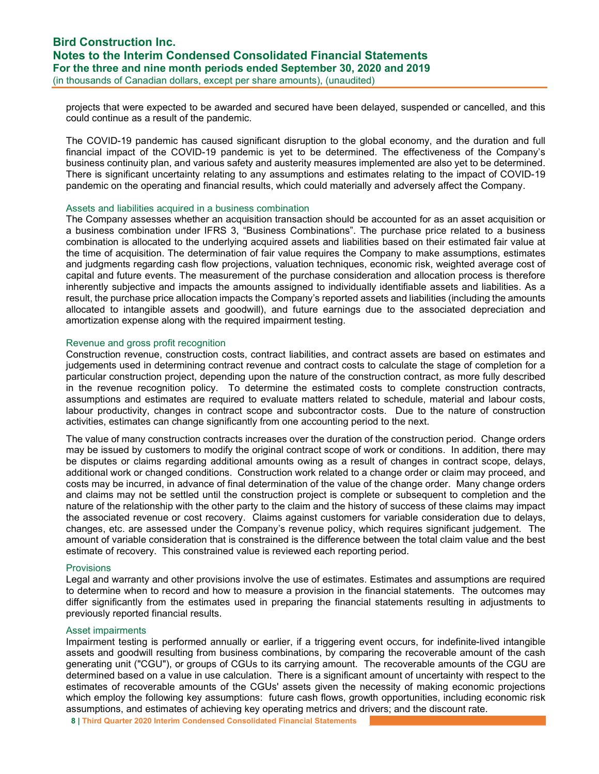projects that were expected to be awarded and secured have been delayed, suspended or cancelled, and this could continue as a result of the pandemic.

The COVID-19 pandemic has caused significant disruption to the global economy, and the duration and full financial impact of the COVID-19 pandemic is yet to be determined. The effectiveness of the Company's business continuity plan, and various safety and austerity measures implemented are also yet to be determined. There is significant uncertainty relating to any assumptions and estimates relating to the impact of COVID-19 pandemic on the operating and financial results, which could materially and adversely affect the Company.

### Assets and liabilities acquired in a business combination

The Company assesses whether an acquisition transaction should be accounted for as an asset acquisition or a business combination under IFRS 3, "Business Combinations". The purchase price related to a business combination is allocated to the underlying acquired assets and liabilities based on their estimated fair value at the time of acquisition. The determination of fair value requires the Company to make assumptions, estimates and judgments regarding cash flow projections, valuation techniques, economic risk, weighted average cost of capital and future events. The measurement of the purchase consideration and allocation process is therefore inherently subjective and impacts the amounts assigned to individually identifiable assets and liabilities. As a result, the purchase price allocation impacts the Company's reported assets and liabilities (including the amounts allocated to intangible assets and goodwill), and future earnings due to the associated depreciation and amortization expense along with the required impairment testing.

#### Revenue and gross profit recognition

Construction revenue, construction costs, contract liabilities, and contract assets are based on estimates and judgements used in determining contract revenue and contract costs to calculate the stage of completion for a particular construction project, depending upon the nature of the construction contract, as more fully described in the revenue recognition policy. To determine the estimated costs to complete construction contracts, assumptions and estimates are required to evaluate matters related to schedule, material and labour costs, labour productivity, changes in contract scope and subcontractor costs. Due to the nature of construction activities, estimates can change significantly from one accounting period to the next.

The value of many construction contracts increases over the duration of the construction period. Change orders may be issued by customers to modify the original contract scope of work or conditions. In addition, there may be disputes or claims regarding additional amounts owing as a result of changes in contract scope, delays, additional work or changed conditions. Construction work related to a change order or claim may proceed, and costs may be incurred, in advance of final determination of the value of the change order. Many change orders and claims may not be settled until the construction project is complete or subsequent to completion and the nature of the relationship with the other party to the claim and the history of success of these claims may impact the associated revenue or cost recovery. Claims against customers for variable consideration due to delays, changes, etc. are assessed under the Company's revenue policy, which requires significant judgement. The amount of variable consideration that is constrained is the difference between the total claim value and the best estimate of recovery. This constrained value is reviewed each reporting period.

#### **Provisions**

Legal and warranty and other provisions involve the use of estimates. Estimates and assumptions are required to determine when to record and how to measure a provision in the financial statements. The outcomes may differ significantly from the estimates used in preparing the financial statements resulting in adjustments to previously reported financial results.

#### Asset impairments

Impairment testing is performed annually or earlier, if a triggering event occurs, for indefinite-lived intangible assets and goodwill resulting from business combinations, by comparing the recoverable amount of the cash generating unit ("CGU"), or groups of CGUs to its carrying amount. The recoverable amounts of the CGU are determined based on a value in use calculation. There is a significant amount of uncertainty with respect to the estimates of recoverable amounts of the CGUs' assets given the necessity of making economic projections which employ the following key assumptions: future cash flows, growth opportunities, including economic risk assumptions, and estimates of achieving key operating metrics and drivers; and the discount rate.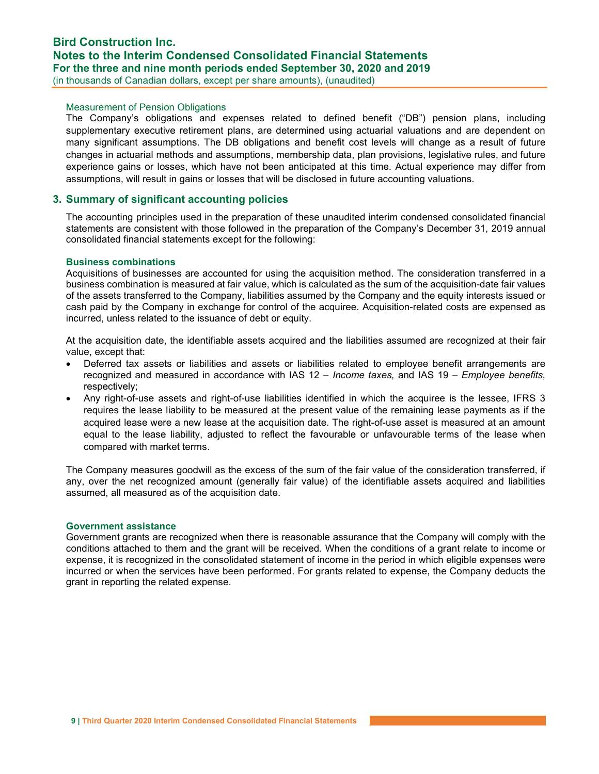### Measurement of Pension Obligations

The Company's obligations and expenses related to defined benefit ("DB") pension plans, including supplementary executive retirement plans, are determined using actuarial valuations and are dependent on many significant assumptions. The DB obligations and benefit cost levels will change as a result of future changes in actuarial methods and assumptions, membership data, plan provisions, legislative rules, and future experience gains or losses, which have not been anticipated at this time. Actual experience may differ from assumptions, will result in gains or losses that will be disclosed in future accounting valuations.

### 3. Summary of significant accounting policies

The accounting principles used in the preparation of these unaudited interim condensed consolidated financial statements are consistent with those followed in the preparation of the Company's December 31, 2019 annual consolidated financial statements except for the following:

### Business combinations

Acquisitions of businesses are accounted for using the acquisition method. The consideration transferred in a business combination is measured at fair value, which is calculated as the sum of the acquisition-date fair values of the assets transferred to the Company, liabilities assumed by the Company and the equity interests issued or cash paid by the Company in exchange for control of the acquiree. Acquisition-related costs are expensed as incurred, unless related to the issuance of debt or equity.

At the acquisition date, the identifiable assets acquired and the liabilities assumed are recognized at their fair value, except that:

- Deferred tax assets or liabilities and assets or liabilities related to employee benefit arrangements are recognized and measured in accordance with IAS 12 – Income taxes, and IAS 19 – Employee benefits, respectively;
- Any right-of-use assets and right-of-use liabilities identified in which the acquiree is the lessee, IFRS 3 requires the lease liability to be measured at the present value of the remaining lease payments as if the acquired lease were a new lease at the acquisition date. The right-of-use asset is measured at an amount equal to the lease liability, adjusted to reflect the favourable or unfavourable terms of the lease when compared with market terms.

The Company measures goodwill as the excess of the sum of the fair value of the consideration transferred, if any, over the net recognized amount (generally fair value) of the identifiable assets acquired and liabilities assumed, all measured as of the acquisition date.

#### Government assistance

Government grants are recognized when there is reasonable assurance that the Company will comply with the conditions attached to them and the grant will be received. When the conditions of a grant relate to income or expense, it is recognized in the consolidated statement of income in the period in which eligible expenses were incurred or when the services have been performed. For grants related to expense, the Company deducts the grant in reporting the related expense.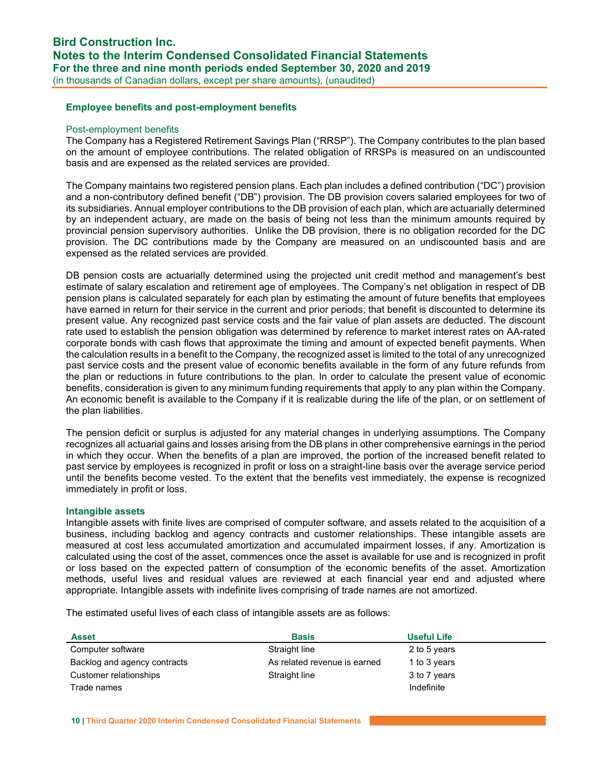### Employee benefits and post-employment benefits

#### Post-employment benefits

The Company has a Registered Retirement Savings Plan ("RRSP"). The Company contributes to the plan based on the amount of employee contributions. The related obligation of RRSPs is measured on an undiscounted basis and are expensed as the related services are provided.

The Company maintains two registered pension plans. Each plan includes a defined contribution ("DC") provision and a non-contributory defined benefit ("DB") provision. The DB provision covers salaried employees for two of its subsidiaries. Annual employer contributions to the DB provision of each plan, which are actuarially determined by an independent actuary, are made on the basis of being not less than the minimum amounts required by provincial pension supervisory authorities. Unlike the DB provision, there is no obligation recorded for the DC provision. The DC contributions made by the Company are measured on an undiscounted basis and are expensed as the related services are provided.

DB pension costs are actuarially determined using the projected unit credit method and management's best estimate of salary escalation and retirement age of employees. The Company's net obligation in respect of DB pension plans is calculated separately for each plan by estimating the amount of future benefits that employees have earned in return for their service in the current and prior periods; that benefit is discounted to determine its present value. Any recognized past service costs and the fair value of plan assets are deducted. The discount rate used to establish the pension obligation was determined by reference to market interest rates on AA-rated corporate bonds with cash flows that approximate the timing and amount of expected benefit payments. When the calculation results in a benefit to the Company, the recognized asset is limited to the total of any unrecognized past service costs and the present value of economic benefits available in the form of any future refunds from the plan or reductions in future contributions to the plan. In order to calculate the present value of economic benefits, consideration is given to any minimum funding requirements that apply to any plan within the Company. An economic benefit is available to the Company if it is realizable during the life of the plan, or on settlement of the plan liabilities.

The pension deficit or surplus is adjusted for any material changes in underlying assumptions. The Company recognizes all actuarial gains and losses arising from the DB plans in other comprehensive earnings in the period in which they occur. When the benefits of a plan are improved, the portion of the increased benefit related to past service by employees is recognized in profit or loss on a straight-line basis over the average service period until the benefits become vested. To the extent that the benefits vest immediately, the expense is recognized immediately in profit or loss.

#### Intangible assets

Intangible assets with finite lives are comprised of computer software, and assets related to the acquisition of a business, including backlog and agency contracts and customer relationships. These intangible assets are measured at cost less accumulated amortization and accumulated impairment losses, if any. Amortization is calculated using the cost of the asset, commences once the asset is available for use and is recognized in profit or loss based on the expected pattern of consumption of the economic benefits of the asset. Amortization methods, useful lives and residual values are reviewed at each financial year end and adjusted where appropriate. Intangible assets with indefinite lives comprising of trade names are not amortized.

The estimated useful lives of each class of intangible assets are as follows:

| <b>Asset</b>                 | <b>Basis</b>                 | <b>Useful Life</b> |
|------------------------------|------------------------------|--------------------|
| Computer software            | Straight line                | 2 to 5 years       |
| Backlog and agency contracts | As related revenue is earned | 1 to 3 years       |
| Customer relationships       | Straight line                | 3 to 7 years       |
| Trade names                  |                              | Indefinite         |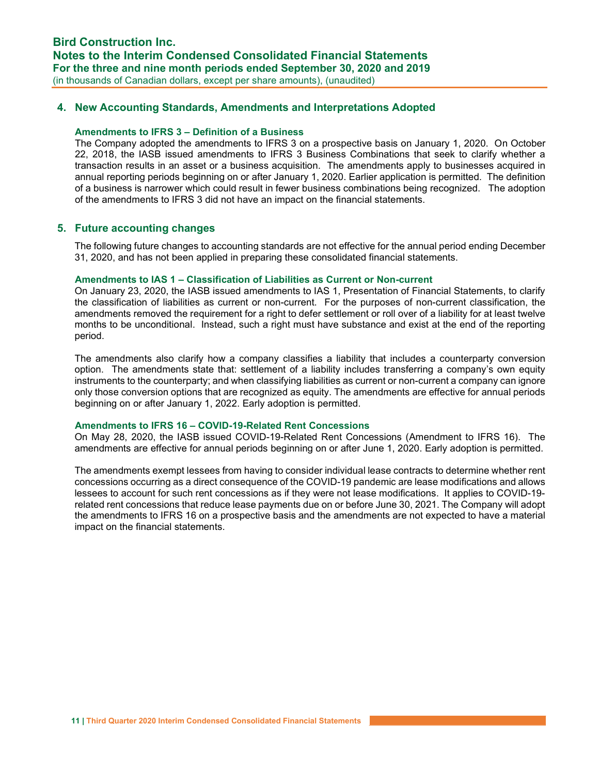### 4. New Accounting Standards, Amendments and Interpretations Adopted

#### Amendments to IFRS 3 – Definition of a Business

The Company adopted the amendments to IFRS 3 on a prospective basis on January 1, 2020. On October 22, 2018, the IASB issued amendments to IFRS 3 Business Combinations that seek to clarify whether a transaction results in an asset or a business acquisition. The amendments apply to businesses acquired in annual reporting periods beginning on or after January 1, 2020. Earlier application is permitted. The definition of a business is narrower which could result in fewer business combinations being recognized. The adoption of the amendments to IFRS 3 did not have an impact on the financial statements.

### 5. Future accounting changes

The following future changes to accounting standards are not effective for the annual period ending December 31, 2020, and has not been applied in preparing these consolidated financial statements.

#### Amendments to IAS 1 – Classification of Liabilities as Current or Non-current

On January 23, 2020, the IASB issued amendments to IAS 1, Presentation of Financial Statements, to clarify the classification of liabilities as current or non-current. For the purposes of non-current classification, the amendments removed the requirement for a right to defer settlement or roll over of a liability for at least twelve months to be unconditional. Instead, such a right must have substance and exist at the end of the reporting period.

The amendments also clarify how a company classifies a liability that includes a counterparty conversion option. The amendments state that: settlement of a liability includes transferring a company's own equity instruments to the counterparty; and when classifying liabilities as current or non-current a company can ignore only those conversion options that are recognized as equity. The amendments are effective for annual periods beginning on or after January 1, 2022. Early adoption is permitted.

#### Amendments to IFRS 16 – COVID-19-Related Rent Concessions

On May 28, 2020, the IASB issued COVID-19-Related Rent Concessions (Amendment to IFRS 16). The amendments are effective for annual periods beginning on or after June 1, 2020. Early adoption is permitted.

The amendments exempt lessees from having to consider individual lease contracts to determine whether rent concessions occurring as a direct consequence of the COVID-19 pandemic are lease modifications and allows lessees to account for such rent concessions as if they were not lease modifications. It applies to COVID-19 related rent concessions that reduce lease payments due on or before June 30, 2021. The Company will adopt the amendments to IFRS 16 on a prospective basis and the amendments are not expected to have a material impact on the financial statements.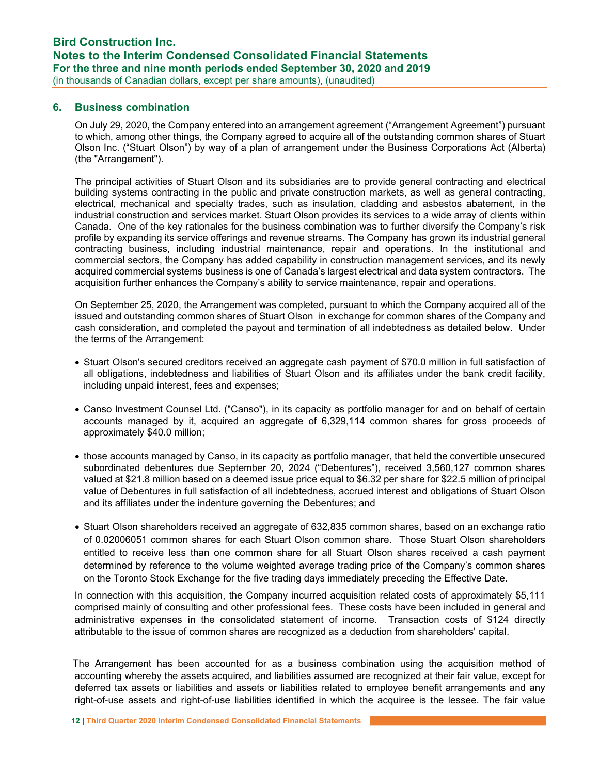### 6. Business combination

On July 29, 2020, the Company entered into an arrangement agreement ("Arrangement Agreement") pursuant to which, among other things, the Company agreed to acquire all of the outstanding common shares of Stuart Olson Inc. ("Stuart Olson") by way of a plan of arrangement under the Business Corporations Act (Alberta) (the "Arrangement").

The principal activities of Stuart Olson and its subsidiaries are to provide general contracting and electrical building systems contracting in the public and private construction markets, as well as general contracting, electrical, mechanical and specialty trades, such as insulation, cladding and asbestos abatement, in the industrial construction and services market. Stuart Olson provides its services to a wide array of clients within Canada. One of the key rationales for the business combination was to further diversify the Company's risk profile by expanding its service offerings and revenue streams. The Company has grown its industrial general contracting business, including industrial maintenance, repair and operations. In the institutional and commercial sectors, the Company has added capability in construction management services, and its newly acquired commercial systems business is one of Canada's largest electrical and data system contractors. The acquisition further enhances the Company's ability to service maintenance, repair and operations.

On September 25, 2020, the Arrangement was completed, pursuant to which the Company acquired all of the issued and outstanding common shares of Stuart Olson in exchange for common shares of the Company and cash consideration, and completed the payout and termination of all indebtedness as detailed below. Under the terms of the Arrangement:

- Stuart Olson's secured creditors received an aggregate cash payment of \$70.0 million in full satisfaction of all obligations, indebtedness and liabilities of Stuart Olson and its affiliates under the bank credit facility, including unpaid interest, fees and expenses;
- Canso Investment Counsel Ltd. ("Canso"), in its capacity as portfolio manager for and on behalf of certain accounts managed by it, acquired an aggregate of 6,329,114 common shares for gross proceeds of approximately \$40.0 million;
- those accounts managed by Canso, in its capacity as portfolio manager, that held the convertible unsecured subordinated debentures due September 20, 2024 ("Debentures"), received 3,560,127 common shares valued at \$21.8 million based on a deemed issue price equal to \$6.32 per share for \$22.5 million of principal value of Debentures in full satisfaction of all indebtedness, accrued interest and obligations of Stuart Olson and its affiliates under the indenture governing the Debentures; and
- Stuart Olson shareholders received an aggregate of 632,835 common shares, based on an exchange ratio of 0.02006051 common shares for each Stuart Olson common share. Those Stuart Olson shareholders entitled to receive less than one common share for all Stuart Olson shares received a cash payment determined by reference to the volume weighted average trading price of the Company's common shares on the Toronto Stock Exchange for the five trading days immediately preceding the Effective Date.

In connection with this acquisition, the Company incurred acquisition related costs of approximately \$5,111 comprised mainly of consulting and other professional fees. These costs have been included in general and administrative expenses in the consolidated statement of income. Transaction costs of \$124 directly attributable to the issue of common shares are recognized as a deduction from shareholders' capital.

 The Arrangement has been accounted for as a business combination using the acquisition method of accounting whereby the assets acquired, and liabilities assumed are recognized at their fair value, except for deferred tax assets or liabilities and assets or liabilities related to employee benefit arrangements and any right-of-use assets and right-of-use liabilities identified in which the acquiree is the lessee. The fair value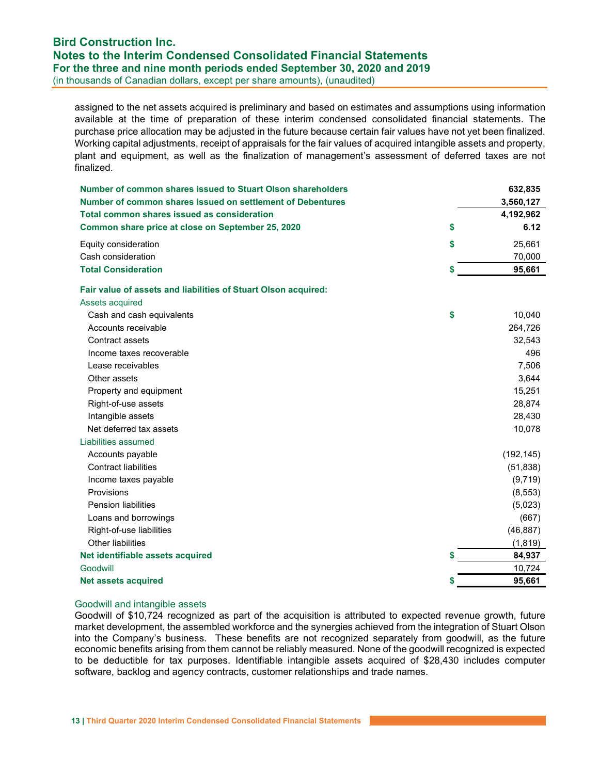### Bird Construction Inc. Notes to the Interim Condensed Consolidated Financial Statements For the three and nine month periods ended September 30, 2020 and 2019 (in thousands of Canadian dollars, except per share amounts), (unaudited)

assigned to the net assets acquired is preliminary and based on estimates and assumptions using information available at the time of preparation of these interim condensed consolidated financial statements. The purchase price allocation may be adjusted in the future because certain fair values have not yet been finalized. Working capital adjustments, receipt of appraisals for the fair values of acquired intangible assets and property, plant and equipment, as well as the finalization of management's assessment of deferred taxes are not finalized.

| Number of common shares issued to Stuart Olson shareholders    |    | 632,835    |
|----------------------------------------------------------------|----|------------|
| Number of common shares issued on settlement of Debentures     |    | 3,560,127  |
| Total common shares issued as consideration                    |    | 4,192,962  |
| Common share price at close on September 25, 2020              | \$ | 6.12       |
| Equity consideration                                           | \$ | 25,661     |
| Cash consideration                                             |    | 70,000     |
| <b>Total Consideration</b>                                     | S  | 95,661     |
| Fair value of assets and liabilities of Stuart Olson acquired: |    |            |
| Assets acquired                                                |    |            |
| Cash and cash equivalents                                      | \$ | 10,040     |
| Accounts receivable                                            |    | 264,726    |
| Contract assets                                                |    | 32,543     |
| Income taxes recoverable                                       |    | 496        |
| Lease receivables                                              |    | 7,506      |
| Other assets                                                   |    | 3,644      |
| Property and equipment                                         |    | 15,251     |
| Right-of-use assets                                            |    | 28,874     |
| Intangible assets                                              |    | 28,430     |
| Net deferred tax assets                                        |    | 10,078     |
| Liabilities assumed                                            |    |            |
| Accounts payable                                               |    | (192, 145) |
| <b>Contract liabilities</b>                                    |    | (51, 838)  |
| Income taxes payable                                           |    | (9,719)    |
| Provisions                                                     |    | (8, 553)   |
| <b>Pension liabilities</b>                                     |    | (5,023)    |
| Loans and borrowings                                           |    | (667)      |
| Right-of-use liabilities                                       |    | (46, 887)  |
| Other liabilities                                              |    | (1, 819)   |
| Net identifiable assets acquired                               | S  | 84,937     |
| Goodwill                                                       |    | 10,724     |
| <b>Net assets acquired</b>                                     |    | 95,661     |

#### Goodwill and intangible assets

Goodwill of \$10,724 recognized as part of the acquisition is attributed to expected revenue growth, future market development, the assembled workforce and the synergies achieved from the integration of Stuart Olson into the Company's business. These benefits are not recognized separately from goodwill, as the future economic benefits arising from them cannot be reliably measured. None of the goodwill recognized is expected to be deductible for tax purposes. Identifiable intangible assets acquired of \$28,430 includes computer software, backlog and agency contracts, customer relationships and trade names.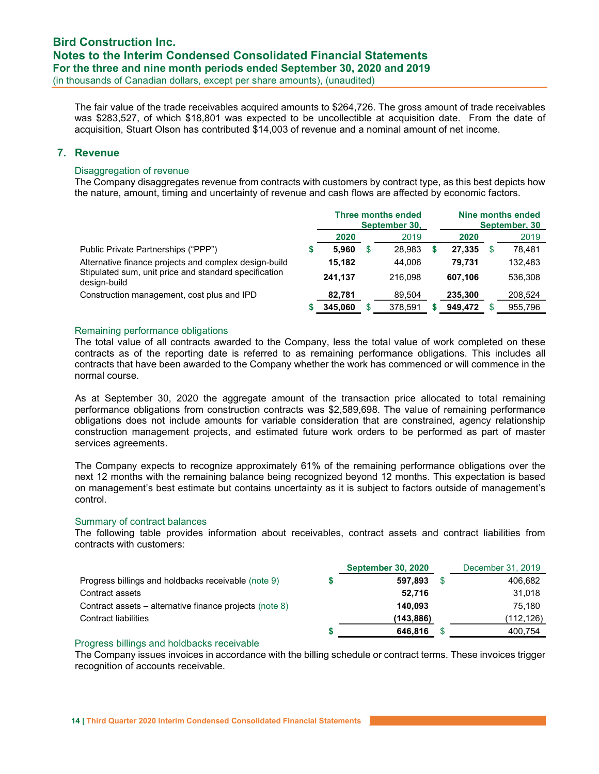The fair value of the trade receivables acquired amounts to \$264,726. The gross amount of trade receivables was \$283,527, of which \$18,801 was expected to be uncollectible at acquisition date. From the date of acquisition, Stuart Olson has contributed \$14,003 of revenue and a nominal amount of net income.

### 7. Revenue

### Disaggregation of revenue

The Company disaggregates revenue from contracts with customers by contract type, as this best depicts how the nature, amount, timing and uncertainty of revenue and cash flows are affected by economic factors.

|                                                                       |         | <b>Three months ended</b><br>September 30, | Nine months ended<br>September, 30 |    |         |  |  |
|-----------------------------------------------------------------------|---------|--------------------------------------------|------------------------------------|----|---------|--|--|
|                                                                       | 2020    | 2019                                       | 2020                               |    | 2019    |  |  |
| Public Private Partnerships ("PPP")                                   | 5.960   | 28.983                                     | 27.335                             |    | 78.481  |  |  |
| Alternative finance projects and complex design-build                 | 15.182  | 44.006                                     | 79.731                             |    | 132.483 |  |  |
| Stipulated sum, unit price and standard specification<br>design-build | 241.137 | 216.098                                    | 607.106                            |    | 536.308 |  |  |
| Construction management, cost plus and IPD                            | 82,781  | 89.504                                     | 235.300                            |    | 208.524 |  |  |
|                                                                       | 345.060 | 378,591                                    | 949.472                            | S. | 955,796 |  |  |

### Remaining performance obligations

The total value of all contracts awarded to the Company, less the total value of work completed on these contracts as of the reporting date is referred to as remaining performance obligations. This includes all contracts that have been awarded to the Company whether the work has commenced or will commence in the normal course.

As at September 30, 2020 the aggregate amount of the transaction price allocated to total remaining performance obligations from construction contracts was \$2,589,698. The value of remaining performance obligations does not include amounts for variable consideration that are constrained, agency relationship construction management projects, and estimated future work orders to be performed as part of master services agreements.

The Company expects to recognize approximately 61% of the remaining performance obligations over the next 12 months with the remaining balance being recognized beyond 12 months. This expectation is based on management's best estimate but contains uncertainty as it is subject to factors outside of management's control.

#### Summary of contract balances

The following table provides information about receivables, contract assets and contract liabilities from contracts with customers:

|                                                         | <b>September 30, 2020</b> |      | December 31, 2019 |
|---------------------------------------------------------|---------------------------|------|-------------------|
| Progress billings and holdbacks receivable (note 9)     | 597.893                   | - \$ | 406,682           |
| Contract assets                                         | 52,716                    |      | 31.018            |
| Contract assets – alternative finance projects (note 8) | 140.093                   |      | 75.180            |
| Contract liabilities                                    | (143,886)                 |      | (112,126)         |
|                                                         | 646,816                   |      | 400.754           |

#### Progress billings and holdbacks receivable

The Company issues invoices in accordance with the billing schedule or contract terms. These invoices trigger recognition of accounts receivable.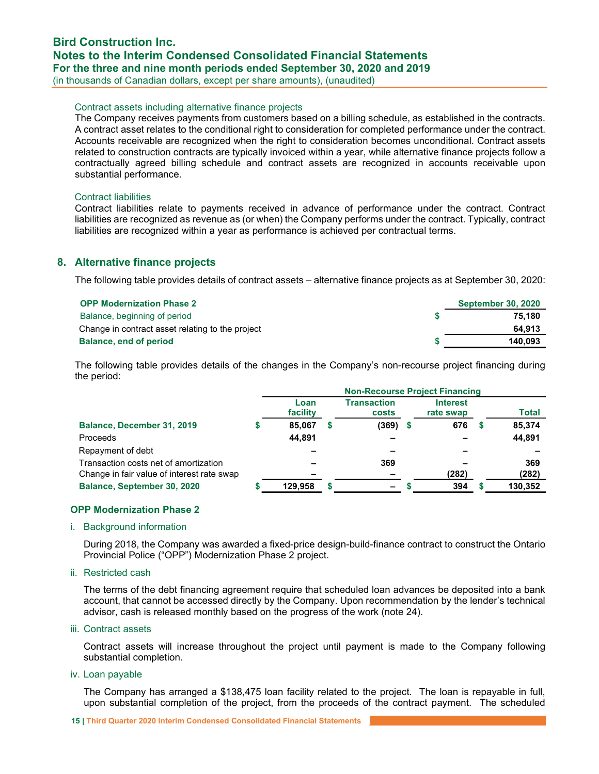### Contract assets including alternative finance projects

The Company receives payments from customers based on a billing schedule, as established in the contracts. A contract asset relates to the conditional right to consideration for completed performance under the contract. Accounts receivable are recognized when the right to consideration becomes unconditional. Contract assets related to construction contracts are typically invoiced within a year, while alternative finance projects follow a contractually agreed billing schedule and contract assets are recognized in accounts receivable upon substantial performance.

#### Contract liabilities

Contract liabilities relate to payments received in advance of performance under the contract. Contract liabilities are recognized as revenue as (or when) the Company performs under the contract. Typically, contract liabilities are recognized within a year as performance is achieved per contractual terms.

### 8. Alternative finance projects

The following table provides details of contract assets – alternative finance projects as at September 30, 2020:

| <b>OPP Modernization Phase 2</b>                 | <b>September 30, 2020</b> |
|--------------------------------------------------|---------------------------|
| Balance, beginning of period                     | 75.180                    |
| Change in contract asset relating to the project | 64.913                    |
| Balance, end of period                           | 140,093                   |

The following table provides details of the changes in the Company's non-recourse project financing during the period:

|                                            | <b>Non-Recourse Project Financing</b> |  |                             |  |                              |  |              |  |  |
|--------------------------------------------|---------------------------------------|--|-----------------------------|--|------------------------------|--|--------------|--|--|
|                                            | Loan<br>facility                      |  | <b>Transaction</b><br>costs |  | <b>Interest</b><br>rate swap |  | <b>Total</b> |  |  |
| Balance, December 31, 2019                 | 85.067                                |  | $(369)$ \$                  |  | 676                          |  | 85,374       |  |  |
| <b>Proceeds</b>                            | 44,891                                |  |                             |  |                              |  | 44,891       |  |  |
| Repayment of debt                          |                                       |  |                             |  |                              |  |              |  |  |
| Transaction costs net of amortization      |                                       |  | 369                         |  |                              |  | 369          |  |  |
| Change in fair value of interest rate swap |                                       |  |                             |  | (282)                        |  | (282)        |  |  |
| Balance, September 30, 2020                | 129,958                               |  | $\overline{\phantom{0}}$    |  | 394                          |  | 130,352      |  |  |

### OPP Modernization Phase 2

#### i. Background information

During 2018, the Company was awarded a fixed-price design-build-finance contract to construct the Ontario Provincial Police ("OPP") Modernization Phase 2 project.

#### ii. Restricted cash

The terms of the debt financing agreement require that scheduled loan advances be deposited into a bank account, that cannot be accessed directly by the Company. Upon recommendation by the lender's technical advisor, cash is released monthly based on the progress of the work (note 24).

#### iii. Contract assets

Contract assets will increase throughout the project until payment is made to the Company following substantial completion.

#### iv. Loan payable

The Company has arranged a \$138,475 loan facility related to the project. The loan is repayable in full, upon substantial completion of the project, from the proceeds of the contract payment. The scheduled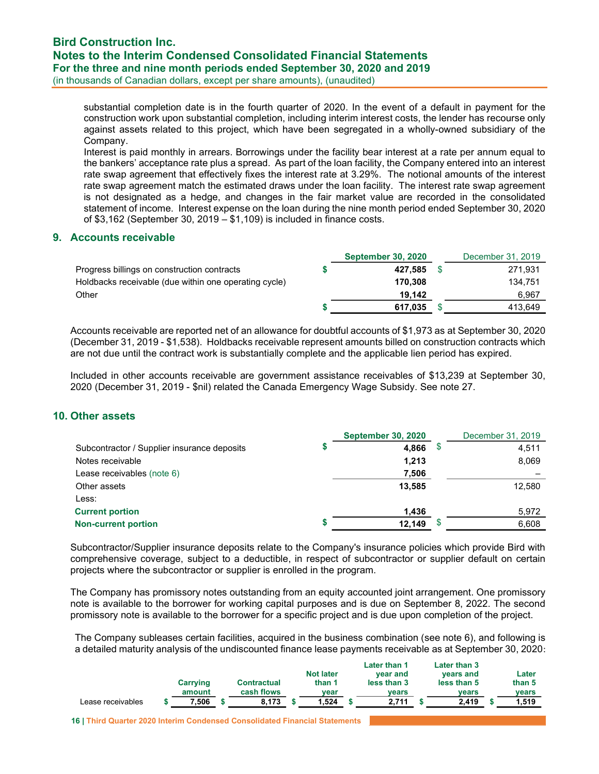## Bird Construction Inc. Notes to the Interim Condensed Consolidated Financial Statements For the three and nine month periods ended September 30, 2020 and 2019

(in thousands of Canadian dollars, except per share amounts), (unaudited)

substantial completion date is in the fourth quarter of 2020. In the event of a default in payment for the construction work upon substantial completion, including interim interest costs, the lender has recourse only against assets related to this project, which have been segregated in a wholly-owned subsidiary of the Company.

Interest is paid monthly in arrears. Borrowings under the facility bear interest at a rate per annum equal to the bankers' acceptance rate plus a spread. As part of the loan facility, the Company entered into an interest rate swap agreement that effectively fixes the interest rate at 3.29%. The notional amounts of the interest rate swap agreement match the estimated draws under the loan facility. The interest rate swap agreement is not designated as a hedge, and changes in the fair market value are recorded in the consolidated statement of income. Interest expense on the loan during the nine month period ended September 30, 2020 of \$3,162 (September 30, 2019 – \$1,109) is included in finance costs.

### 9. Accounts receivable

|                                                       | <b>September 30, 2020</b> | December 31, 2019 |
|-------------------------------------------------------|---------------------------|-------------------|
| Progress billings on construction contracts           | 427.585                   | 271.931           |
| Holdbacks receivable (due within one operating cycle) | 170.308                   | 134.751           |
| Other                                                 | 19.142                    | 6.967             |
|                                                       | 617.035                   | 413.649           |

Accounts receivable are reported net of an allowance for doubtful accounts of \$1,973 as at September 30, 2020 (December 31, 2019 - \$1,538). Holdbacks receivable represent amounts billed on construction contracts which are not due until the contract work is substantially complete and the applicable lien period has expired.

Included in other accounts receivable are government assistance receivables of \$13,239 at September 30, 2020 (December 31, 2019 - \$nil) related the Canada Emergency Wage Subsidy. See note 27.

### 10. Other assets

|                                             | <b>September 30, 2020</b> | December 31, 2019 |
|---------------------------------------------|---------------------------|-------------------|
| Subcontractor / Supplier insurance deposits | 4,866                     | \$<br>4,511       |
| Notes receivable                            | 1,213                     | 8,069             |
| Lease receivables (note 6)                  | 7,506                     |                   |
| Other assets                                | 13.585                    | 12,580            |
| Less:                                       |                           |                   |
| <b>Current portion</b>                      | 1,436                     | 5,972             |
| <b>Non-current portion</b>                  | 12,149                    | 6,608             |

Subcontractor/Supplier insurance deposits relate to the Company's insurance policies which provide Bird with comprehensive coverage, subject to a deductible, in respect of subcontractor or supplier default on certain projects where the subcontractor or supplier is enrolled in the program.

The Company has promissory notes outstanding from an equity accounted joint arrangement. One promissory note is available to the borrower for working capital purposes and is due on September 8, 2022. The second promissory note is available to the borrower for a specific project and is due upon completion of the project.

The Company subleases certain facilities, acquired in the business combination (see note 6), and following is a detailed maturity analysis of the undiscounted finance lease payments receivable as at September 30, 2020:

|                           |                    | <b>Not later</b> | Later than 1            | Later than 3             | Later  |
|---------------------------|--------------------|------------------|-------------------------|--------------------------|--------|
| Carrying                  | <b>Contractual</b> | than 1           | vear and<br>less than 3 | vears and<br>less than 5 | than 5 |
| amount                    | cash flows         | vear             | vears                   | vears                    | vears  |
| .506<br>Lease receivables | 8.173              | 1.524            | 2.711                   | 2.419                    | 1.519  |

16 | Third Quarter 2020 Interim Condensed Consolidated Financial Statements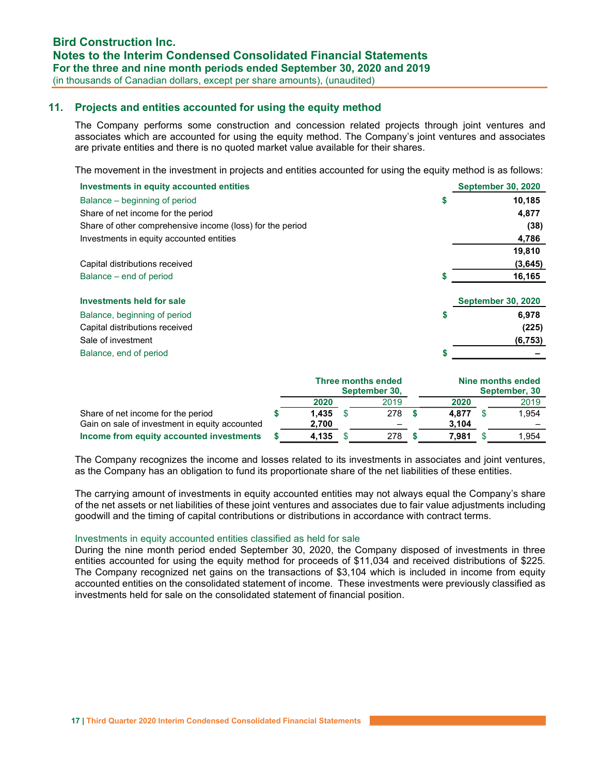### 11. Projects and entities accounted for using the equity method

The Company performs some construction and concession related projects through joint ventures and associates which are accounted for using the equity method. The Company's joint ventures and associates are private entities and there is no quoted market value available for their shares.

The movement in the investment in projects and entities accounted for using the equity method is as follows:

| Investments in equity accounted entities                  |    | <b>September 30, 2020</b> |
|-----------------------------------------------------------|----|---------------------------|
| Balance – beginning of period                             | \$ | 10,185                    |
| Share of net income for the period                        |    | 4,877                     |
| Share of other comprehensive income (loss) for the period |    | (38)                      |
| Investments in equity accounted entities                  |    | 4,786                     |
|                                                           |    | 19,810                    |
| Capital distributions received                            |    | (3,645)                   |
| Balance – end of period                                   |    | 16,165                    |
| <b>Investments held for sale</b>                          |    | <b>September 30, 2020</b> |
| Balance, beginning of period                              | \$ | 6.978                     |
| Capital distributions received                            |    | (225)                     |
| Sale of investment                                        |    | (6, 753)                  |
| Balance, end of period                                    | 5  |                           |

|                                                |       | Three months ended<br>September 30, |       | Nine months ended<br>September, 30 |       |  |  |
|------------------------------------------------|-------|-------------------------------------|-------|------------------------------------|-------|--|--|
|                                                | 2020  | 2019                                | 2020  |                                    |       |  |  |
| Share of net income for the period             | 1.435 | 278                                 | 4.877 |                                    | 1,954 |  |  |
| Gain on sale of investment in equity accounted | 2,700 |                                     | 3.104 |                                    |       |  |  |
| Income from equity accounted investments       | 4.135 | 278                                 | 7.981 |                                    | 1.954 |  |  |

The Company recognizes the income and losses related to its investments in associates and joint ventures, as the Company has an obligation to fund its proportionate share of the net liabilities of these entities.

The carrying amount of investments in equity accounted entities may not always equal the Company's share of the net assets or net liabilities of these joint ventures and associates due to fair value adjustments including goodwill and the timing of capital contributions or distributions in accordance with contract terms.

#### Investments in equity accounted entities classified as held for sale

During the nine month period ended September 30, 2020, the Company disposed of investments in three entities accounted for using the equity method for proceeds of \$11,034 and received distributions of \$225. The Company recognized net gains on the transactions of \$3,104 which is included in income from equity accounted entities on the consolidated statement of income. These investments were previously classified as investments held for sale on the consolidated statement of financial position.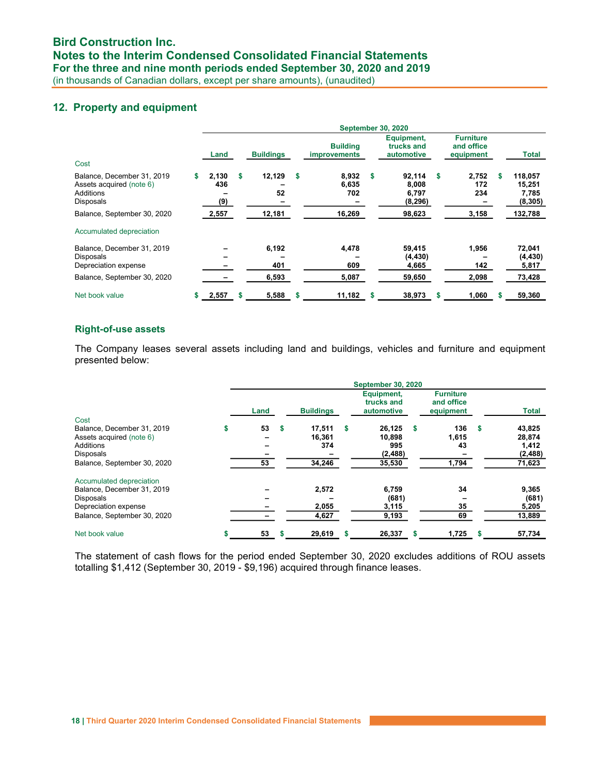### 12. Property and equipment

|                                                                                                |    |                     |                       |    |                                        |    | <b>September 30, 2020</b>              |    |                                             |   |                                        |
|------------------------------------------------------------------------------------------------|----|---------------------|-----------------------|----|----------------------------------------|----|----------------------------------------|----|---------------------------------------------|---|----------------------------------------|
| Cost                                                                                           |    | Land                | <b>Buildings</b>      |    | <b>Building</b><br><b>improvements</b> |    | Equipment,<br>trucks and<br>automotive |    | <b>Furniture</b><br>and office<br>equipment |   | Total                                  |
| Balance, December 31, 2019<br>Assets acquired (note 6)<br>Additions<br>Disposals               | \$ | 2,130<br>436<br>(9) | \$<br>12,129<br>52    | S  | 8,932<br>6,635<br>702                  | \$ | 92.114<br>8.008<br>6,797<br>(8, 296)   | S. | 2,752<br>172<br>234                         | s | 118.057<br>15,251<br>7,785<br>(8, 305) |
| Balance, September 30, 2020                                                                    |    | 2,557               | 12,181                |    | 16,269                                 |    | 98,623                                 |    | 3,158                                       |   | 132,788                                |
| Accumulated depreciation                                                                       |    |                     |                       |    |                                        |    |                                        |    |                                             |   |                                        |
| Balance, December 31, 2019<br>Disposals<br>Depreciation expense<br>Balance, September 30, 2020 |    |                     | 6,192<br>401<br>6,593 |    | 4,478<br>609<br>5,087                  |    | 59,415<br>(4, 430)<br>4,665<br>59,650  |    | 1,956<br>142<br>2,098                       |   | 72,041<br>(4, 430)<br>5,817<br>73,428  |
| Net book value                                                                                 | S  | 2,557               | \$<br>5,588           | \$ | 11,182                                 | S  | 38,973                                 | S  | 1,060                                       |   | 59,360                                 |

### Right-of-use assets

The Company leases several assets including land and buildings, vehicles and furniture and equipment presented below:

|                                                                                                                                |    |          |    |                                   |   | <b>September 30, 2020</b>                     |   |                                             |   |                                                 |
|--------------------------------------------------------------------------------------------------------------------------------|----|----------|----|-----------------------------------|---|-----------------------------------------------|---|---------------------------------------------|---|-------------------------------------------------|
|                                                                                                                                |    | Land     |    | <b>Buildings</b>                  |   | Equipment,<br>trucks and<br>automotive        |   | <b>Furniture</b><br>and office<br>equipment |   | <b>Total</b>                                    |
| Cost<br>Balance, December 31, 2019<br>Assets acquired (note 6)<br>Additions<br><b>Disposals</b><br>Balance, September 30, 2020 | \$ | 53<br>53 | S. | 17,511<br>16.361<br>374<br>34,246 | S | 26.125<br>10.898<br>995<br>(2, 488)<br>35,530 | S | 136<br>1,615<br>43<br>1,794                 | S | 43,825<br>28,874<br>1,412<br>(2, 488)<br>71,623 |
| Accumulated depreciation<br>Balance, December 31, 2019<br>Disposals<br>Depreciation expense<br>Balance, September 30, 2020     |    |          |    | 2,572<br>2,055<br>4,627           |   | 6,759<br>(681)<br>3,115<br>9,193              |   | 34<br>35<br>69                              |   | 9,365<br>(681)<br>5,205<br>13,889               |
| Net book value                                                                                                                 | S  | 53       | s  | 29,619                            |   | 26,337                                        | S | 1,725                                       | S | 57,734                                          |

The statement of cash flows for the period ended September 30, 2020 excludes additions of ROU assets totalling \$1,412 (September 30, 2019 - \$9,196) acquired through finance leases.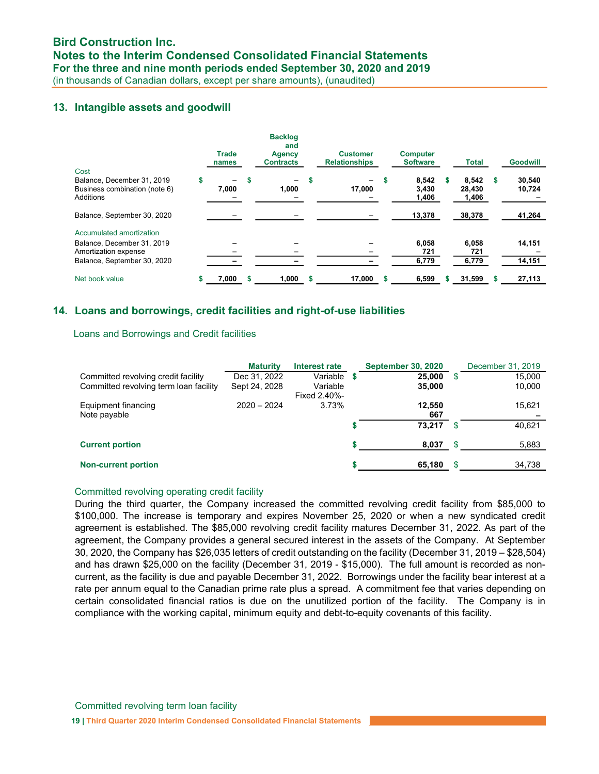### 13. Intangible assets and goodwill

|                                                                          |    | <b>Trade</b><br>names             |   | <b>Backlog</b><br>and<br><b>Agency</b><br><b>Contracts</b> |   | <b>Customer</b><br><b>Relationships</b> |   | <b>Computer</b><br><b>Software</b> | Total                    |   | <b>Goodwill</b>  |
|--------------------------------------------------------------------------|----|-----------------------------------|---|------------------------------------------------------------|---|-----------------------------------------|---|------------------------------------|--------------------------|---|------------------|
| Cost                                                                     |    |                                   |   |                                                            |   |                                         |   |                                    |                          |   |                  |
| Balance, December 31, 2019<br>Business combination (note 6)<br>Additions | \$ | $\overline{\phantom{0}}$<br>7,000 | s | Ξ.<br>1,000                                                | S | 17,000                                  |   | 8.542<br>3.430<br>1,406            | 8.542<br>28.430<br>1,406 | s | 30.540<br>10,724 |
| Balance, September 30, 2020                                              |    |                                   |   |                                                            |   |                                         |   | 13,378                             | 38,378                   |   | 41,264           |
| Accumulated amortization                                                 |    |                                   |   |                                                            |   |                                         |   |                                    |                          |   |                  |
| Balance, December 31, 2019<br>Amortization expense                       |    |                                   |   |                                                            |   |                                         |   | 6,058<br>721                       | 6,058<br>721             |   | 14,151           |
| Balance, September 30, 2020                                              |    |                                   |   |                                                            |   |                                         |   | 6,779                              | 6,779                    |   | 14,151           |
| Net book value                                                           | s. | 7,000                             | S | 1.000                                                      | S | 17.000                                  | S | 6,599                              | 31,599                   |   | 27,113           |

### 14. Loans and borrowings, credit facilities and right-of-use liabilities

### Loans and Borrowings and Credit facilities

|                                        | <b>Maturity</b> | Interest rate            |    | <b>September 30, 2020</b> |     | December 31, 2019 |
|----------------------------------------|-----------------|--------------------------|----|---------------------------|-----|-------------------|
| Committed revolving credit facility    | Dec 31, 2022    | Variable                 | S  | 25.000                    | S   | 15,000            |
| Committed revolving term loan facility | Sept 24, 2028   | Variable<br>Fixed 2.40%- |    | 35,000                    |     | 10,000            |
| Equipment financing                    | $2020 - 2024$   | 3.73%                    |    | 12.550                    |     | 15,621            |
| Note payable                           |                 |                          |    | 667                       |     |                   |
|                                        |                 |                          |    | 73.217                    | £.  | 40,621            |
| <b>Current portion</b>                 |                 |                          | s. | 8,037                     | \$. | 5,883             |
| <b>Non-current portion</b>             |                 |                          | S  | 65,180                    | \$  | 34,738            |

### Committed revolving operating credit facility

During the third quarter, the Company increased the committed revolving credit facility from \$85,000 to \$100,000. The increase is temporary and expires November 25, 2020 or when a new syndicated credit agreement is established. The \$85,000 revolving credit facility matures December 31, 2022. As part of the agreement, the Company provides a general secured interest in the assets of the Company. At September 30, 2020, the Company has \$26,035 letters of credit outstanding on the facility (December 31, 2019 – \$28,504) and has drawn \$25,000 on the facility (December 31, 2019 - \$15,000). The full amount is recorded as noncurrent, as the facility is due and payable December 31, 2022. Borrowings under the facility bear interest at a rate per annum equal to the Canadian prime rate plus a spread. A commitment fee that varies depending on certain consolidated financial ratios is due on the unutilized portion of the facility. The Company is in compliance with the working capital, minimum equity and debt-to-equity covenants of this facility.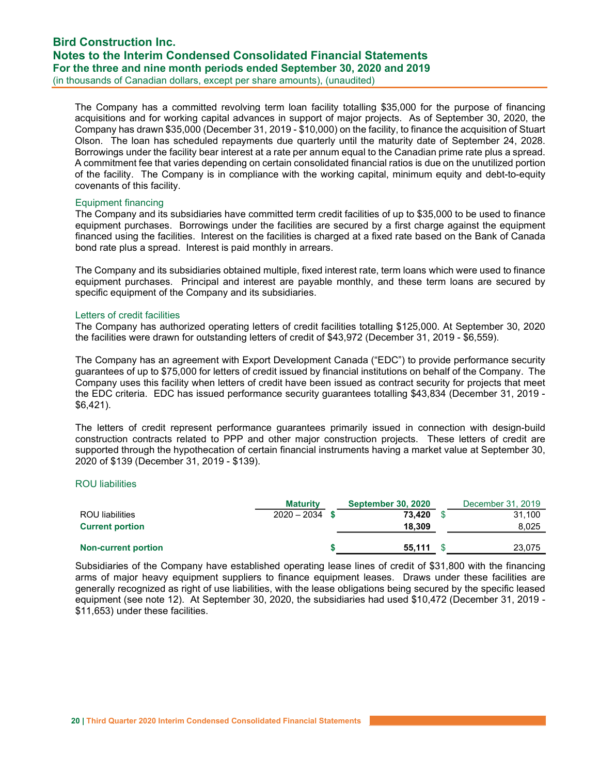## Bird Construction Inc. Notes to the Interim Condensed Consolidated Financial Statements For the three and nine month periods ended September 30, 2020 and 2019

(in thousands of Canadian dollars, except per share amounts), (unaudited)

The Company has a committed revolving term loan facility totalling \$35,000 for the purpose of financing acquisitions and for working capital advances in support of major projects. As of September 30, 2020, the Company has drawn \$35,000 (December 31, 2019 - \$10,000) on the facility, to finance the acquisition of Stuart Olson. The loan has scheduled repayments due quarterly until the maturity date of September 24, 2028. Borrowings under the facility bear interest at a rate per annum equal to the Canadian prime rate plus a spread. A commitment fee that varies depending on certain consolidated financial ratios is due on the unutilized portion of the facility. The Company is in compliance with the working capital, minimum equity and debt-to-equity covenants of this facility.

### Equipment financing

The Company and its subsidiaries have committed term credit facilities of up to \$35,000 to be used to finance equipment purchases. Borrowings under the facilities are secured by a first charge against the equipment financed using the facilities. Interest on the facilities is charged at a fixed rate based on the Bank of Canada bond rate plus a spread. Interest is paid monthly in arrears.

The Company and its subsidiaries obtained multiple, fixed interest rate, term loans which were used to finance equipment purchases. Principal and interest are payable monthly, and these term loans are secured by specific equipment of the Company and its subsidiaries.

### Letters of credit facilities

The Company has authorized operating letters of credit facilities totalling \$125,000. At September 30, 2020 the facilities were drawn for outstanding letters of credit of \$43,972 (December 31, 2019 - \$6,559).

The Company has an agreement with Export Development Canada ("EDC") to provide performance security guarantees of up to \$75,000 for letters of credit issued by financial institutions on behalf of the Company. The Company uses this facility when letters of credit have been issued as contract security for projects that meet the EDC criteria. EDC has issued performance security guarantees totalling \$43,834 (December 31, 2019 - \$6,421).

The letters of credit represent performance guarantees primarily issued in connection with design-build construction contracts related to PPP and other major construction projects. These letters of credit are supported through the hypothecation of certain financial instruments having a market value at September 30, 2020 of \$139 (December 31, 2019 - \$139).

### ROU liabilities

|                            | <b>Maturity</b>  | <b>September 30, 2020</b> | December 31, 2019 |
|----------------------------|------------------|---------------------------|-------------------|
| ROU liabilities            | $2020 - 2034$ \$ | 73.420                    | 31.100            |
| <b>Current portion</b>     |                  | 18.309                    | 8,025             |
|                            |                  |                           |                   |
| <b>Non-current portion</b> |                  | 55.111                    | 23,075            |

Subsidiaries of the Company have established operating lease lines of credit of \$31,800 with the financing arms of major heavy equipment suppliers to finance equipment leases. Draws under these facilities are generally recognized as right of use liabilities, with the lease obligations being secured by the specific leased equipment (see note 12). At September 30, 2020, the subsidiaries had used \$10,472 (December 31, 2019 - \$11,653) under these facilities.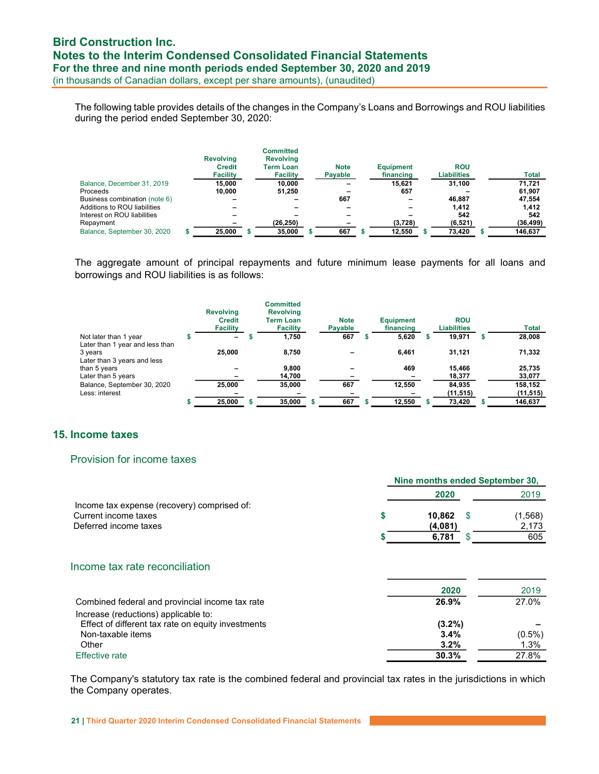The following table provides details of the changes in the Company's Loans and Borrowings and ROU liabilities during the period ended September 30, 2020:

|                               | <b>Revolving</b><br><b>Credit</b><br><b>Facility</b> | Committed<br><b>Revolving</b><br><b>Term Loan</b><br><b>Facility</b> | <b>Note</b><br>Payable | <b>Equipment</b><br>financing | <b>ROU</b><br><b>Liabilities</b> | <b>Total</b> |
|-------------------------------|------------------------------------------------------|----------------------------------------------------------------------|------------------------|-------------------------------|----------------------------------|--------------|
| Balance, December 31, 2019    | 15.000                                               | 10.000                                                               |                        | 15.621                        | 31.100                           | 71.721       |
| Proceeds                      | 10.000                                               | 51.250                                                               |                        | 657                           |                                  | 61.907       |
| Business combination (note 6) |                                                      |                                                                      | 667                    |                               | 46.887                           | 47.554       |
| Additions to ROU liabilities  |                                                      |                                                                      |                        |                               | 1.412                            | 1,412        |
| Interest on ROU liabilities   |                                                      |                                                                      |                        |                               | 542                              | 542          |
| Repayment                     |                                                      | (26, 250)                                                            |                        | (3,728)                       | (6, 521)                         | (36, 499)    |
| Balance, September 30, 2020   | 25,000                                               | 35,000                                                               | 667                    | 12,550                        | 73,420                           | 146,637      |

The aggregate amount of principal repayments and future minimum lease payments for all loans and borrowings and ROU liabilities is as follows:

|                                                                           | <b>Revolving</b><br><b>Credit</b><br><b>Facility</b> | <b>Committed</b><br><b>Revolving</b><br><b>Term Loan</b><br><b>Facility</b> | <b>Note</b><br>Payable | <b>Equipment</b><br>financing |   | <b>ROU</b><br><b>Liabilities</b> | <b>Total</b> |
|---------------------------------------------------------------------------|------------------------------------------------------|-----------------------------------------------------------------------------|------------------------|-------------------------------|---|----------------------------------|--------------|
| Not later than 1 year                                                     | -                                                    | 1,750                                                                       | 667                    | 5,620                         | æ | 19.971                           | 28,008       |
| Later than 1 year and less than<br>3 years<br>Later than 3 years and less | 25,000                                               | 8.750                                                                       |                        | 6.461                         |   | 31.121                           | 71,332       |
| than 5 years                                                              |                                                      | 9.800                                                                       |                        | 469                           |   | 15.466                           | 25,735       |
| Later than 5 years                                                        |                                                      | 14,700                                                                      |                        |                               |   | 18,377                           | 33,077       |
| Balance, September 30, 2020                                               | 25,000                                               | 35,000                                                                      | 667                    | 12.550                        |   | 84,935                           | 158,152      |
| Less: interest                                                            |                                                      |                                                                             |                        |                               |   | (11, 515)                        | (11, 515)    |
|                                                                           | 25,000                                               | 35,000                                                                      | 667                    | 12,550                        |   | 73,420                           | 146,637      |

### 15. Income taxes

### Provision for income taxes

|                                                                                                                                                   | Nine months ended September 30,    |     |                            |
|---------------------------------------------------------------------------------------------------------------------------------------------------|------------------------------------|-----|----------------------------|
|                                                                                                                                                   | 2020                               |     | 2019                       |
| Income tax expense (recovery) comprised of:<br>Current income taxes<br>Deferred income taxes                                                      | \$<br>10,862<br>(4,081)            | -S  | (1, 568)<br>2,173          |
|                                                                                                                                                   | 6,781                              | \$. | 605                        |
| Income tax rate reconciliation                                                                                                                    | 2020                               |     | 2019                       |
| Combined federal and provincial income tax rate                                                                                                   | 26.9%                              |     | 27.0%                      |
| Increase (reductions) applicable to:<br>Effect of different tax rate on equity investments<br>Non-taxable items<br>Other<br><b>Effective rate</b> | $(3.2\%)$<br>3.4%<br>3.2%<br>30.3% |     | $(0.5\%)$<br>1.3%<br>27.8% |
|                                                                                                                                                   |                                    |     |                            |

The Company's statutory tax rate is the combined federal and provincial tax rates in the jurisdictions in which the Company operates.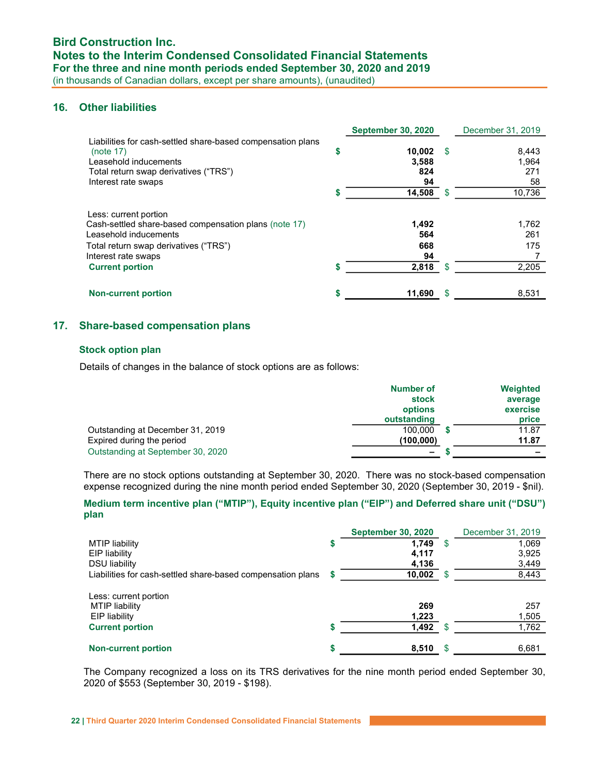### 16. Other liabilities

|                                                                                                                                                                                                   | <b>September 30, 2020</b>          |     | December 31, 2019            |
|---------------------------------------------------------------------------------------------------------------------------------------------------------------------------------------------------|------------------------------------|-----|------------------------------|
| Liabilities for cash-settled share-based compensation plans<br>(note 17)<br>Leasehold inducements<br>Total return swap derivatives ("TRS")<br>Interest rate swaps                                 | \$<br>10.002<br>3,588<br>824<br>94 | \$. | 8,443<br>1,964<br>271<br>58  |
|                                                                                                                                                                                                   | 14,508                             | -S  | 10,736                       |
| Less: current portion<br>Cash-settled share-based compensation plans (note 17)<br>Leasehold inducements<br>Total return swap derivatives ("TRS")<br>Interest rate swaps<br><b>Current portion</b> | 1,492<br>564<br>668<br>94<br>2,818 | \$. | 1.762<br>261<br>175<br>2,205 |
|                                                                                                                                                                                                   |                                    |     |                              |
| <b>Non-current portion</b>                                                                                                                                                                        | 11,690                             | S   | 8,531                        |

### 17. Share-based compensation plans

### Stock option plan

Details of changes in the balance of stock options are as follows:

|                                   | <b>Number of</b>         | Weighted                 |
|-----------------------------------|--------------------------|--------------------------|
|                                   | stock                    | average                  |
|                                   | options                  | exercise                 |
|                                   | outstanding              | price                    |
| Outstanding at December 31, 2019  | 100.000                  | 11.87                    |
| Expired during the period         | (100,000)                | 11.87                    |
| Outstanding at September 30, 2020 | $\overline{\phantom{a}}$ | $\overline{\phantom{a}}$ |

There are no stock options outstanding at September 30, 2020. There was no stock-based compensation expense recognized during the nine month period ended September 30, 2020 (September 30, 2019 - \$nil).

### Medium term incentive plan ("MTIP"), Equity incentive plan ("EIP") and Deferred share unit ("DSU") plan

|                                                             | <b>September 30, 2020</b> |      | December 31, 2019 |
|-------------------------------------------------------------|---------------------------|------|-------------------|
| MTIP liability                                              | 1.749                     | - \$ | 1,069             |
| <b>EIP liability</b>                                        | 4,117                     |      | 3,925             |
| <b>DSU liability</b>                                        | 4,136                     |      | 3,449             |
| Liabilities for cash-settled share-based compensation plans | 10,002                    | - \$ | 8,443             |
| Less: current portion<br>MTIP liability<br>EIP liability    | 269<br>1,223              |      | 257<br>1,505      |
| <b>Current portion</b>                                      | 1,492                     | -S   | 1,762             |
| <b>Non-current portion</b>                                  | \$<br>8,510               | \$.  | 6,681             |

The Company recognized a loss on its TRS derivatives for the nine month period ended September 30, 2020 of \$553 (September 30, 2019 - \$198).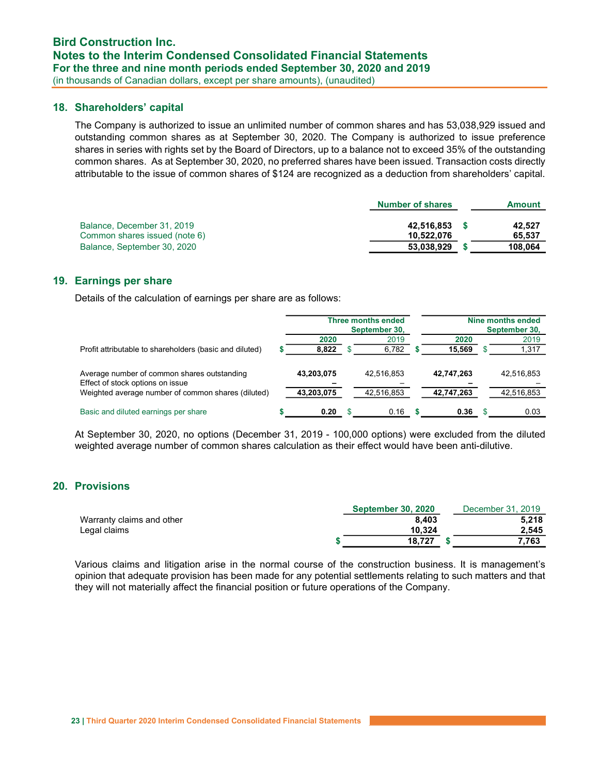### 18. Shareholders' capital

The Company is authorized to issue an unlimited number of common shares and has 53,038,929 issued and outstanding common shares as at September 30, 2020. The Company is authorized to issue preference shares in series with rights set by the Board of Directors, up to a balance not to exceed 35% of the outstanding common shares. As at September 30, 2020, no preferred shares have been issued. Transaction costs directly attributable to the issue of common shares of \$124 are recognized as a deduction from shareholders' capital.

|                               | <b>Number of shares</b> | <b>Amount</b> |
|-------------------------------|-------------------------|---------------|
|                               |                         |               |
| Balance, December 31, 2019    | 42.516.853              | 42.527        |
| Common shares issued (note 6) | 10.522.076              | 65.537        |
| Balance, September 30, 2020   | 53.038.929              | 108.064       |

### 19. Earnings per share

Details of the calculation of earnings per share are as follows:

|                                                                                 | <b>Three months ended</b><br>September 30, |  |            |            | Nine months ended<br>September 30, |            |
|---------------------------------------------------------------------------------|--------------------------------------------|--|------------|------------|------------------------------------|------------|
|                                                                                 | 2020                                       |  | 2019       | 2020       |                                    | 2019       |
| Profit attributable to shareholders (basic and diluted)                         | 8,822                                      |  | 6,782      | 15,569     |                                    | 1,317      |
| Average number of common shares outstanding<br>Effect of stock options on issue | 43,203,075                                 |  | 42,516,853 | 42,747,263 |                                    | 42,516,853 |
| Weighted average number of common shares (diluted)                              | 43,203,075                                 |  | 42,516,853 | 42,747,263 |                                    | 42,516,853 |
| Basic and diluted earnings per share                                            | 0.20                                       |  | 0.16       | 0.36       |                                    | 0.03       |

At September 30, 2020, no options (December 31, 2019 - 100,000 options) were excluded from the diluted weighted average number of common shares calculation as their effect would have been anti-dilutive.

### 20. Provisions

|                           | <b>September 30, 2020</b> | December 31, 2019 |
|---------------------------|---------------------------|-------------------|
| Warranty claims and other | 8.403                     | 5.218             |
| Legal claims              | 10.324                    | 2.545             |
|                           | 18.727                    | 7.763             |

Various claims and litigation arise in the normal course of the construction business. It is management's opinion that adequate provision has been made for any potential settlements relating to such matters and that they will not materially affect the financial position or future operations of the Company.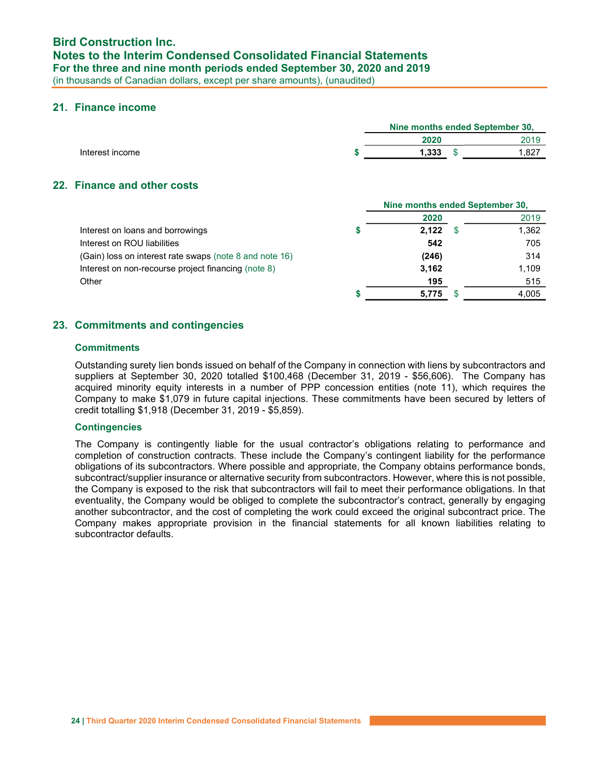### 21. Finance income

|                 |       | Nine months ended September 30, |
|-----------------|-------|---------------------------------|
|                 | 2020  | 2019                            |
| Interest income | 1.333 | 827. ا                          |
|                 |       |                                 |

### 22. Finance and other costs

|                                                         | Nine months ended September 30. |  |       |  |
|---------------------------------------------------------|---------------------------------|--|-------|--|
|                                                         | 2020                            |  | 2019  |  |
| Interest on loans and borrowings                        | 2,122                           |  | 1,362 |  |
| Interest on ROU liabilities                             | 542                             |  | 705   |  |
| (Gain) loss on interest rate swaps (note 8 and note 16) | (246)                           |  | 314   |  |
| Interest on non-recourse project financing (note 8)     | 3,162                           |  | 1,109 |  |
| Other                                                   | 195                             |  | 515   |  |
|                                                         | 5.775                           |  | 4,005 |  |

### 23. Commitments and contingencies

### **Commitments**

Outstanding surety lien bonds issued on behalf of the Company in connection with liens by subcontractors and suppliers at September 30, 2020 totalled \$100,468 (December 31, 2019 - \$56,606). The Company has acquired minority equity interests in a number of PPP concession entities (note 11), which requires the Company to make \$1,079 in future capital injections. These commitments have been secured by letters of credit totalling \$1,918 (December 31, 2019 - \$5,859).

### **Contingencies**

The Company is contingently liable for the usual contractor's obligations relating to performance and completion of construction contracts. These include the Company's contingent liability for the performance obligations of its subcontractors. Where possible and appropriate, the Company obtains performance bonds, subcontract/supplier insurance or alternative security from subcontractors. However, where this is not possible, the Company is exposed to the risk that subcontractors will fail to meet their performance obligations. In that eventuality, the Company would be obliged to complete the subcontractor's contract, generally by engaging another subcontractor, and the cost of completing the work could exceed the original subcontract price. The Company makes appropriate provision in the financial statements for all known liabilities relating to subcontractor defaults.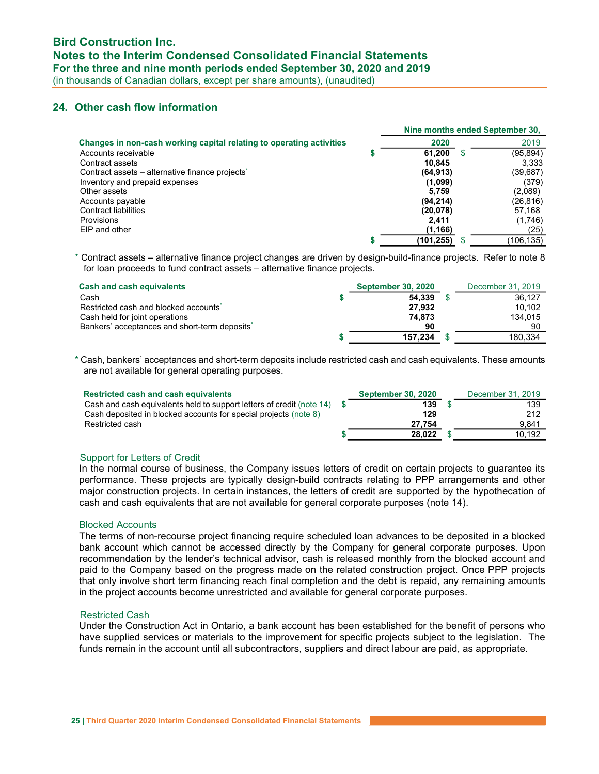### 24. Other cash flow information

|                                                                      |            |   | Nine months ended September 30, |
|----------------------------------------------------------------------|------------|---|---------------------------------|
| Changes in non-cash working capital relating to operating activities | 2020       |   | 2019                            |
| Accounts receivable                                                  | 61,200     | S | (95,894)                        |
| Contract assets                                                      | 10,845     |   | 3.333                           |
| Contract assets – alternative finance projects <sup>*</sup>          | (64, 913)  |   | (39,687)                        |
| Inventory and prepaid expenses                                       | (1,099)    |   | (379)                           |
| Other assets                                                         | 5.759      |   | (2,089)                         |
| Accounts payable                                                     | (94, 214)  |   | (26,816)                        |
| <b>Contract liabilities</b>                                          | (20, 078)  |   | 57,168                          |
| Provisions                                                           | 2.411      |   | (1,746)                         |
| EIP and other                                                        | (1, 166)   |   | (25)                            |
|                                                                      | (101, 255) |   | (106,135)                       |

\* Contract assets – alternative finance project changes are driven by design-build-finance projects. Refer to note 8 for loan proceeds to fund contract assets – alternative finance projects.

| <b>Cash and cash equivalents</b>                  | <b>September 30, 2020</b> | December 31, 2019 |
|---------------------------------------------------|---------------------------|-------------------|
| Cash                                              | 54.339                    | 36.127            |
| Restricted cash and blocked accounts <sup>*</sup> | 27.932                    | 10.102            |
| Cash held for joint operations                    | 74.873                    | 134.015           |
| Bankers' acceptances and short-term deposits"     | 90                        | 90                |
|                                                   | 157.234                   | 180.334           |

\* Cash, bankers' acceptances and short-term deposits include restricted cash and cash equivalents. These amounts are not available for general operating purposes.

| Restricted cash and cash equivalents                                        | <b>September 30, 2020</b> | December 31, 2019 |
|-----------------------------------------------------------------------------|---------------------------|-------------------|
| Cash and cash equivalents held to support letters of credit (note $14$ ) \$ | 139                       | 139               |
| Cash deposited in blocked accounts for special projects (note 8)            | 129                       | 212               |
| Restricted cash                                                             | 27.754                    | 9.841             |
|                                                                             | 28.022                    | 10.192            |

#### Support for Letters of Credit

In the normal course of business, the Company issues letters of credit on certain projects to guarantee its performance. These projects are typically design-build contracts relating to PPP arrangements and other major construction projects. In certain instances, the letters of credit are supported by the hypothecation of cash and cash equivalents that are not available for general corporate purposes (note 14).

#### Blocked Accounts

The terms of non-recourse project financing require scheduled loan advances to be deposited in a blocked bank account which cannot be accessed directly by the Company for general corporate purposes. Upon recommendation by the lender's technical advisor, cash is released monthly from the blocked account and paid to the Company based on the progress made on the related construction project. Once PPP projects that only involve short term financing reach final completion and the debt is repaid, any remaining amounts in the project accounts become unrestricted and available for general corporate purposes.

#### Restricted Cash

Under the Construction Act in Ontario, a bank account has been established for the benefit of persons who have supplied services or materials to the improvement for specific projects subject to the legislation. The funds remain in the account until all subcontractors, suppliers and direct labour are paid, as appropriate.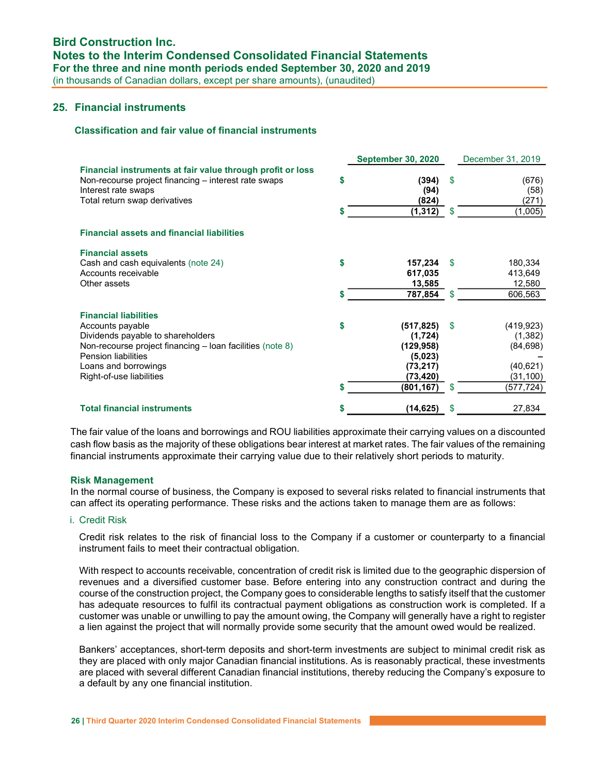### 25. Financial instruments

### Classification and fair value of financial instruments

|                                                                                                                                                                                                                                      |          | <b>September 30, 2020</b>                                                             |            | December 31, 2019                                                          |
|--------------------------------------------------------------------------------------------------------------------------------------------------------------------------------------------------------------------------------------|----------|---------------------------------------------------------------------------------------|------------|----------------------------------------------------------------------------|
| Financial instruments at fair value through profit or loss<br>Non-recourse project financing – interest rate swaps<br>Interest rate swaps<br>Total return swap derivatives                                                           | \$       | (394)<br>(94)<br>(824)                                                                | \$         | (676)<br>(58)<br>(271)                                                     |
|                                                                                                                                                                                                                                      | \$       | (1, 312)                                                                              | \$.        | (1,005)                                                                    |
| <b>Financial assets and financial liabilities</b>                                                                                                                                                                                    |          |                                                                                       |            |                                                                            |
| <b>Financial assets</b><br>Cash and cash equivalents (note 24)<br>Accounts receivable<br>Other assets                                                                                                                                | \$       | 157,234<br>617,035<br>13,585                                                          | \$.        | 180,334<br>413,649<br>12,580                                               |
|                                                                                                                                                                                                                                      | S        | 787,854                                                                               | \$.        | 606,563                                                                    |
| <b>Financial liabilities</b><br>Accounts payable<br>Dividends payable to shareholders<br>Non-recourse project financing – loan facilities (note 8)<br><b>Pension liabilities</b><br>Loans and borrowings<br>Right-of-use liabilities | \$<br>\$ | (517, 825)<br>(1,724)<br>(129, 958)<br>(5,023)<br>(73, 217)<br>(73,420)<br>(801, 167) | \$.<br>\$. | (419, 923)<br>(1, 382)<br>(84, 698)<br>(40, 621)<br>(31, 100)<br>(577,724) |
| <b>Total financial instruments</b>                                                                                                                                                                                                   |          | (14, 625)                                                                             | \$         | 27,834                                                                     |

The fair value of the loans and borrowings and ROU liabilities approximate their carrying values on a discounted cash flow basis as the majority of these obligations bear interest at market rates. The fair values of the remaining financial instruments approximate their carrying value due to their relatively short periods to maturity.

#### Risk Management

In the normal course of business, the Company is exposed to several risks related to financial instruments that can affect its operating performance. These risks and the actions taken to manage them are as follows:

#### i. Credit Risk

Credit risk relates to the risk of financial loss to the Company if a customer or counterparty to a financial instrument fails to meet their contractual obligation.

With respect to accounts receivable, concentration of credit risk is limited due to the geographic dispersion of revenues and a diversified customer base. Before entering into any construction contract and during the course of the construction project, the Company goes to considerable lengths to satisfy itself that the customer has adequate resources to fulfil its contractual payment obligations as construction work is completed. If a customer was unable or unwilling to pay the amount owing, the Company will generally have a right to register a lien against the project that will normally provide some security that the amount owed would be realized.

Bankers' acceptances, short-term deposits and short-term investments are subject to minimal credit risk as they are placed with only major Canadian financial institutions. As is reasonably practical, these investments are placed with several different Canadian financial institutions, thereby reducing the Company's exposure to a default by any one financial institution.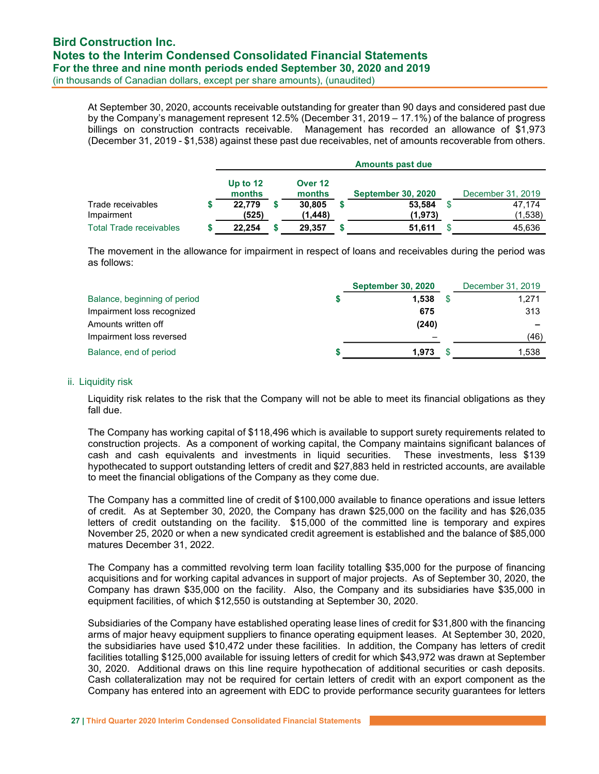At September 30, 2020, accounts receivable outstanding for greater than 90 days and considered past due by the Company's management represent 12.5% (December 31, 2019 – 17.1%) of the balance of progress billings on construction contracts receivable. Management has recorded an allowance of \$1,973 (December 31, 2019 - \$1,538) against these past due receivables, net of amounts recoverable from others.

|                                 | <b>Amounts past due</b> |  |                   |  |                           |  |                   |
|---------------------------------|-------------------------|--|-------------------|--|---------------------------|--|-------------------|
|                                 | Up to $12$<br>months    |  | Over 12<br>months |  | <b>September 30, 2020</b> |  | December 31, 2019 |
| Trade receivables<br>Impairment | 22.779<br>(525)         |  | 30.805<br>(1.448) |  | 53.584<br>(1, 973)        |  | 47.174<br>(1,538) |
| <b>Total Trade receivables</b>  | 22.254                  |  | 29.357            |  | 51,611                    |  | 45.636            |

The movement in the allowance for impairment in respect of loans and receivables during the period was as follows:

| <b>September 30, 2020</b>             | December 31, 2019        |
|---------------------------------------|--------------------------|
| 1.538<br>Balance, beginning of period | 1,271                    |
| Impairment loss recognized<br>675     | 313                      |
| Amounts written off<br>(240)          | $\overline{\phantom{0}}$ |
| Impairment loss reversed              | (46)                     |
| Balance, end of period<br>1.973       | 1,538                    |

#### ii. Liquidity risk

Liquidity risk relates to the risk that the Company will not be able to meet its financial obligations as they fall due.

The Company has working capital of \$118,496 which is available to support surety requirements related to construction projects. As a component of working capital, the Company maintains significant balances of cash and cash equivalents and investments in liquid securities. These investments, less \$139 hypothecated to support outstanding letters of credit and \$27,883 held in restricted accounts, are available to meet the financial obligations of the Company as they come due.

The Company has a committed line of credit of \$100,000 available to finance operations and issue letters of credit. As at September 30, 2020, the Company has drawn \$25,000 on the facility and has \$26,035 letters of credit outstanding on the facility. \$15,000 of the committed line is temporary and expires November 25, 2020 or when a new syndicated credit agreement is established and the balance of \$85,000 matures December 31, 2022.

The Company has a committed revolving term loan facility totalling \$35,000 for the purpose of financing acquisitions and for working capital advances in support of major projects. As of September 30, 2020, the Company has drawn \$35,000 on the facility. Also, the Company and its subsidiaries have \$35,000 in equipment facilities, of which \$12,550 is outstanding at September 30, 2020.

Subsidiaries of the Company have established operating lease lines of credit for \$31,800 with the financing arms of major heavy equipment suppliers to finance operating equipment leases. At September 30, 2020, the subsidiaries have used \$10,472 under these facilities. In addition, the Company has letters of credit facilities totalling \$125,000 available for issuing letters of credit for which \$43,972 was drawn at September 30, 2020. Additional draws on this line require hypothecation of additional securities or cash deposits. Cash collateralization may not be required for certain letters of credit with an export component as the Company has entered into an agreement with EDC to provide performance security guarantees for letters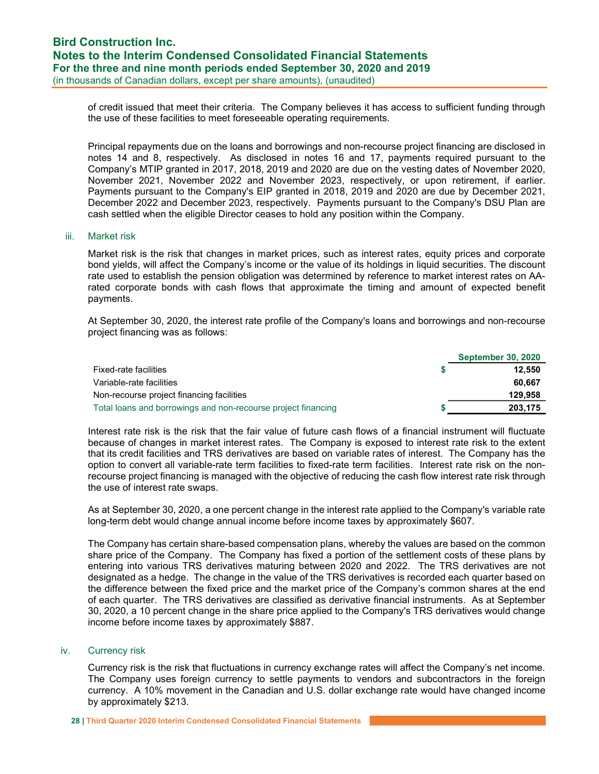of credit issued that meet their criteria. The Company believes it has access to sufficient funding through the use of these facilities to meet foreseeable operating requirements.

Principal repayments due on the loans and borrowings and non-recourse project financing are disclosed in notes 14 and 8, respectively. As disclosed in notes 16 and 17, payments required pursuant to the Company's MTIP granted in 2017, 2018, 2019 and 2020 are due on the vesting dates of November 2020, November 2021, November 2022 and November 2023, respectively, or upon retirement, if earlier. Payments pursuant to the Company's EIP granted in 2018, 2019 and 2020 are due by December 2021, December 2022 and December 2023, respectively. Payments pursuant to the Company's DSU Plan are cash settled when the eligible Director ceases to hold any position within the Company.

### iii. Market risk

Market risk is the risk that changes in market prices, such as interest rates, equity prices and corporate bond yields, will affect the Company's income or the value of its holdings in liquid securities. The discount rate used to establish the pension obligation was determined by reference to market interest rates on AArated corporate bonds with cash flows that approximate the timing and amount of expected benefit payments.

At September 30, 2020, the interest rate profile of the Company's loans and borrowings and non-recourse project financing was as follows:

|                                                               | <b>September 30, 2020</b> |
|---------------------------------------------------------------|---------------------------|
| Fixed-rate facilities                                         | 12.550                    |
| Variable-rate facilities                                      | 60.667                    |
| Non-recourse project financing facilities                     | 129,958                   |
| Total loans and borrowings and non-recourse project financing | 203.175                   |

Interest rate risk is the risk that the fair value of future cash flows of a financial instrument will fluctuate because of changes in market interest rates. The Company is exposed to interest rate risk to the extent that its credit facilities and TRS derivatives are based on variable rates of interest. The Company has the option to convert all variable-rate term facilities to fixed-rate term facilities. Interest rate risk on the nonrecourse project financing is managed with the objective of reducing the cash flow interest rate risk through the use of interest rate swaps.

As at September 30, 2020, a one percent change in the interest rate applied to the Company's variable rate long-term debt would change annual income before income taxes by approximately \$607.

The Company has certain share-based compensation plans, whereby the values are based on the common share price of the Company. The Company has fixed a portion of the settlement costs of these plans by entering into various TRS derivatives maturing between 2020 and 2022. The TRS derivatives are not designated as a hedge. The change in the value of the TRS derivatives is recorded each quarter based on the difference between the fixed price and the market price of the Company's common shares at the end of each quarter. The TRS derivatives are classified as derivative financial instruments. As at September 30, 2020, a 10 percent change in the share price applied to the Company's TRS derivatives would change income before income taxes by approximately \$887.

#### iv. Currency risk

Currency risk is the risk that fluctuations in currency exchange rates will affect the Company's net income. The Company uses foreign currency to settle payments to vendors and subcontractors in the foreign currency. A 10% movement in the Canadian and U.S. dollar exchange rate would have changed income by approximately \$213.